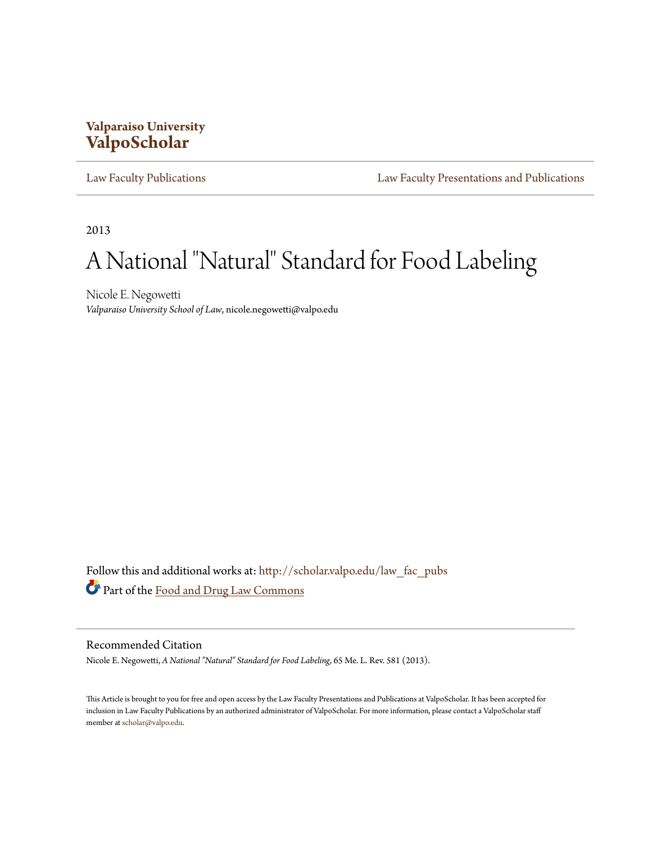# **Valparaiso University [ValpoScholar](http://scholar.valpo.edu?utm_source=scholar.valpo.edu%2Flaw_fac_pubs%2F235&utm_medium=PDF&utm_campaign=PDFCoverPages)**

[Law Faculty Publications](http://scholar.valpo.edu/law_fac_pubs?utm_source=scholar.valpo.edu%2Flaw_fac_pubs%2F235&utm_medium=PDF&utm_campaign=PDFCoverPages) [Law Faculty Presentations and Publications](http://scholar.valpo.edu/law_fac?utm_source=scholar.valpo.edu%2Flaw_fac_pubs%2F235&utm_medium=PDF&utm_campaign=PDFCoverPages)

2013

# A National "Natural" Standard for Food Labeling

Nicole E. Negowetti *Valparaiso University School of Law*, nicole.negowetti@valpo.edu

Follow this and additional works at: [http://scholar.valpo.edu/law\\_fac\\_pubs](http://scholar.valpo.edu/law_fac_pubs?utm_source=scholar.valpo.edu%2Flaw_fac_pubs%2F235&utm_medium=PDF&utm_campaign=PDFCoverPages) Part of the [Food and Drug Law Commons](http://network.bepress.com/hgg/discipline/844?utm_source=scholar.valpo.edu%2Flaw_fac_pubs%2F235&utm_medium=PDF&utm_campaign=PDFCoverPages)

# Recommended Citation

Nicole E. Negowetti, *A National "Natural" Standard for Food Labeling*, 65 Me. L. Rev. 581 (2013).

This Article is brought to you for free and open access by the Law Faculty Presentations and Publications at ValpoScholar. It has been accepted for inclusion in Law Faculty Publications by an authorized administrator of ValpoScholar. For more information, please contact a ValpoScholar staff member at [scholar@valpo.edu](mailto:scholar@valpo.edu).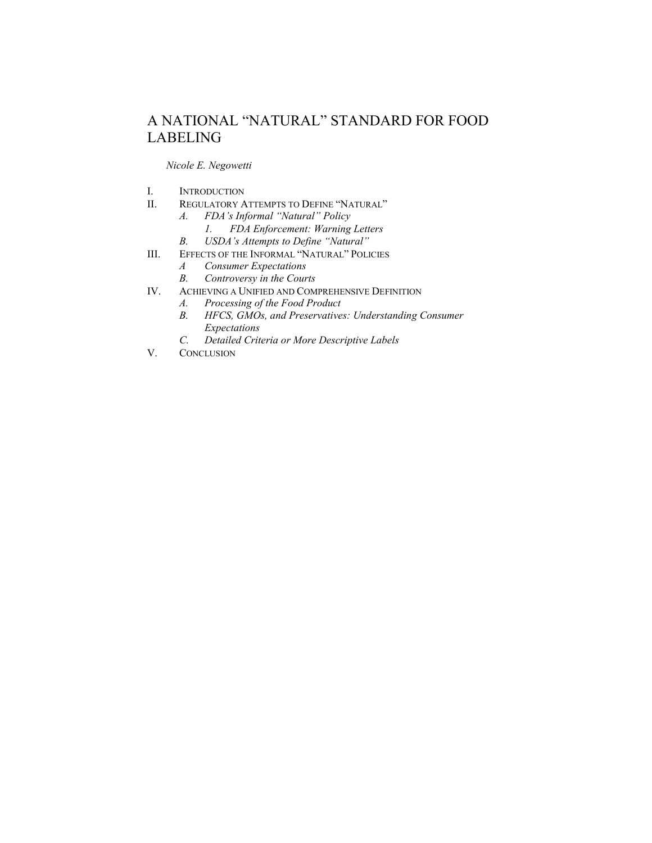# A NATIONAL "NATURAL" STANDARD FOR FOOD LABELING

## *Nicole E. Negowetti*

- I. INTRODUCTION
- II. REGULATORY ATTEMPTS TO DEFINE "NATURAL"
	- *A. FDA's Informal "Natural" Policy*
	- *1. FDA Enforcement: Warning Letters*
		- *<i>USDA's Attempts to Define "Natural"*
- III. EFFECTS OF THE INFORMAL "NATURAL" POLICIES
	- *A Consumer Expectations*
	- *B. Controversy in the Courts*
- IV. ACHIEVING A UNIFIED AND COMPREHENSIVE DEFINITION
	- *A. Processing of the Food Product*
	- *B. HFCS, GMOs, and Preservatives: Understanding Consumer Expectations*
	- *C. Detailed Criteria or More Descriptive Labels*
- V. CONCLUSION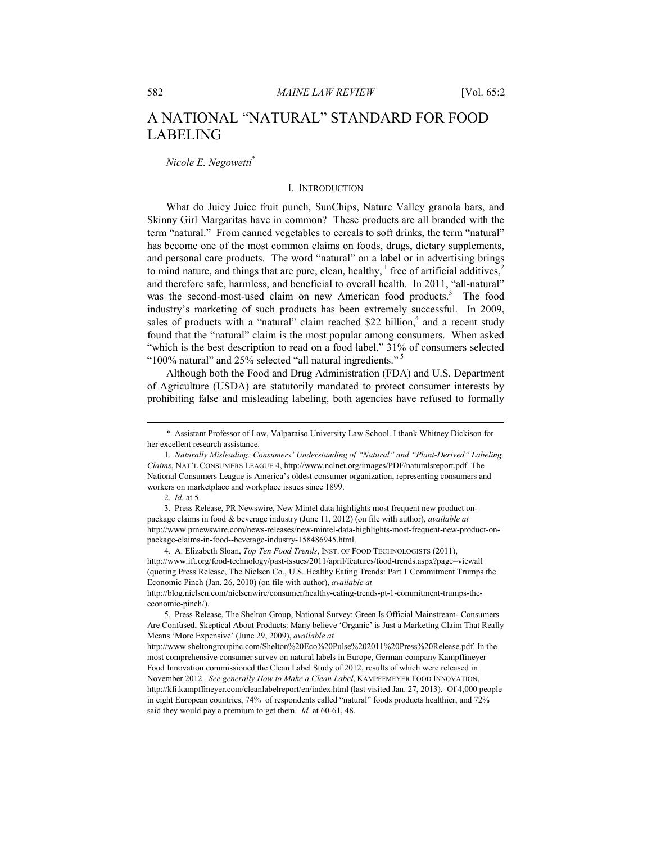# A NATIONAL "NATURAL" STANDARD FOR FOOD LABELING

*Nicole E. Negowetti\**

### I. INTRODUCTION

What do Juicy Juice fruit punch, SunChips, Nature Valley granola bars, and Skinny Girl Margaritas have in common? These products are all branded with the term "natural." From canned vegetables to cereals to soft drinks, the term "natural" has become one of the most common claims on foods, drugs, dietary supplements, and personal care products. The word "natural" on a label or in advertising brings to mind nature, and things that are pure, clean, healthy,  $\frac{1}{2}$  free of artificial additives,  $\frac{2}{3}$ and therefore safe, harmless, and beneficial to overall health.In 2011, "all-natural" was the second-most-used claim on new American food products.<sup>3</sup> The food industry's marketing of such products has been extremely successful. In 2009, sales of products with a "natural" claim reached \$22 billion,<sup>4</sup> and a recent study found that the "natural" claim is the most popular among consumers. When asked "which is the best description to read on a food label," 31% of consumers selected "100% natural" and 25% selected "all natural ingredients." 5

Although both the Food and Drug Administration (FDA) and U.S. Department of Agriculture (USDA) are statutorily mandated to protect consumer interests by prohibiting false and misleading labeling, both agencies have refused to formally

 <sup>\*</sup> Assistant Professor of Law, Valparaiso University Law School. I thank Whitney Dickison for her excellent research assistance.

 <sup>1.</sup> *Naturally Misleading: Consumers' Understanding of "Natural" and "Plant-Derived" Labeling Claims*, NAT'L CONSUMERS LEAGUE 4, http://www.nclnet.org/images/PDF/naturalsreport.pdf. The National Consumers League is America's oldest consumer organization, representing consumers and workers on marketplace and workplace issues since 1899.

 <sup>2.</sup> *Id.* at 5.

 <sup>3.</sup> Press Release, PR Newswire, New Mintel data highlights most frequent new product onpackage claims in food & beverage industry (June 11, 2012) (on file with author), *available at* http://www.prnewswire.com/news-releases/new-mintel-data-highlights-most-frequent-new-product-onpackage-claims-in-food--beverage-industry-158486945.html.

 <sup>4.</sup> A. Elizabeth Sloan, *Top Ten Food Trends*, INST. OF FOOD TECHNOLOGISTS (2011), http://www.ift.org/food-technology/past-issues/2011/april/features/food-trends.aspx?page=viewall (quoting Press Release, The Nielsen Co., U.S. Healthy Eating Trends: Part 1 Commitment Trumps the Economic Pinch (Jan. 26, 2010) (on file with author), *available at* 

http://blog.nielsen.com/nielsenwire/consumer/healthy-eating-trends-pt-1-commitment-trumps-theeconomic-pinch/).

 <sup>5.</sup> Press Release, The Shelton Group, National Survey: Green Is Official Mainstream- Consumers Are Confused, Skeptical About Products: Many believe 'Organic' is Just a Marketing Claim That Really Means 'More Expensive' (June 29, 2009), *available at*

http://www.sheltongroupinc.com/Shelton%20Eco%20Pulse%202011%20Press%20Release.pdf. In the most comprehensive consumer survey on natural labels in Europe, German company Kampffmeyer Food Innovation commissioned the Clean Label Study of 2012, results of which were released in November 2012. *See generally How to Make a Clean Label*, KAMPFFMEYER FOOD INNOVATION, http://kfi.kampffmeyer.com/cleanlabelreport/en/index.html (last visited Jan. 27, 2013). Of 4,000 people in eight European countries, 74% of respondents called "natural" foods products healthier, and 72% said they would pay a premium to get them. *Id.* at 60-61, 48.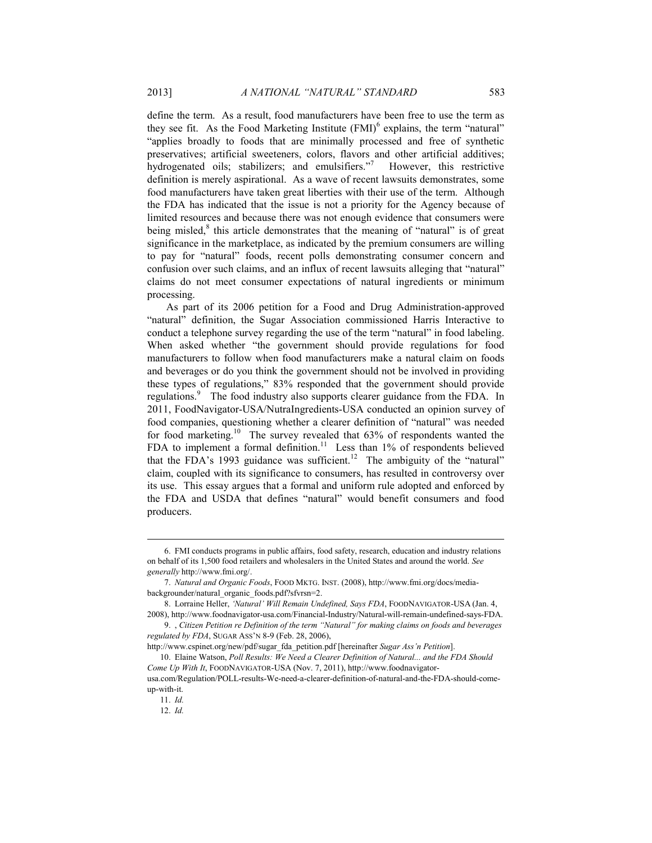define the term. As a result, food manufacturers have been free to use the term as they see fit. As the Food Marketing Institute  $(FMI)^6$  explains, the term "natural" "applies broadly to foods that are minimally processed and free of synthetic preservatives; artificial sweeteners, colors, flavors and other artificial additives; hydrogenated oils; stabilizers; and emulsifiers." However, this restrictive definition is merely aspirational. As a wave of recent lawsuits demonstrates, some food manufacturers have taken great liberties with their use of the term. Although the FDA has indicated that the issue is not a priority for the Agency because of limited resources and because there was not enough evidence that consumers were being misled,<sup>8</sup> this article demonstrates that the meaning of "natural" is of great significance in the marketplace, as indicated by the premium consumers are willing to pay for "natural" foods, recent polls demonstrating consumer concern and confusion over such claims, and an influx of recent lawsuits alleging that "natural" claims do not meet consumer expectations of natural ingredients or minimum processing.

As part of its 2006 petition for a Food and Drug Administration-approved "natural" definition, the Sugar Association commissioned Harris Interactive to conduct a telephone survey regarding the use of the term "natural" in food labeling. When asked whether "the government should provide regulations for food manufacturers to follow when food manufacturers make a natural claim on foods and beverages or do you think the government should not be involved in providing these types of regulations," 83% responded that the government should provide regulations.<sup>9</sup> The food industry also supports clearer guidance from the FDA. In 2011, FoodNavigator-USA/NutraIngredients-USA conducted an opinion survey of food companies, questioning whether a clearer definition of "natural" was needed for food marketing.10 The survey revealed that 63% of respondents wanted the FDA to implement a formal definition.<sup>11</sup> Less than  $1\%$  of respondents believed that the FDA's 1993 guidance was sufficient.<sup>12</sup> The ambiguity of the "natural" claim, coupled with its significance to consumers, has resulted in controversy over its use. This essay argues that a formal and uniform rule adopted and enforced by the FDA and USDA that defines "natural" would benefit consumers and food producers.

http://www.cspinet.org/new/pdf/sugar\_fda\_petition.pdf [hereinafter *Sugar Ass'n Petition*].

12. *Id.*

 <sup>6.</sup> FMI conducts programs in public affairs, food safety, research, education and industry relations on behalf of its 1,500 food retailers and wholesalers in the United States and around the world. *See generally* http://www.fmi.org/.

 <sup>7.</sup> *Natural and Organic Foods*, FOOD MKTG. INST. (2008), http://www.fmi.org/docs/mediabackgrounder/natural\_organic\_foods.pdf?sfvrsn=2.

 <sup>8.</sup> Lorraine Heller, *'Natural' Will Remain Undefined, Says FDA*, FOODNAVIGATOR-USA (Jan. 4, 2008), http://www.foodnavigator-usa.com/Financial-Industry/Natural-will-remain-undefined-says-FDA.

 <sup>9. ,</sup> *Citizen Petition re Definition of the term "Natural" for making claims on foods and beverages regulated by FDA*, SUGAR ASS'N 8-9 (Feb. 28, 2006),

 <sup>10.</sup> Elaine Watson, *Poll Results: We Need a Clearer Definition of Natural... and the FDA Should Come Up With It*, FOODNAVIGATOR-USA (Nov. 7, 2011), http://www.foodnavigator-

usa.com/Regulation/POLL-results-We-need-a-clearer-definition-of-natural-and-the-FDA-should-comeup-with-it. 11. *Id.*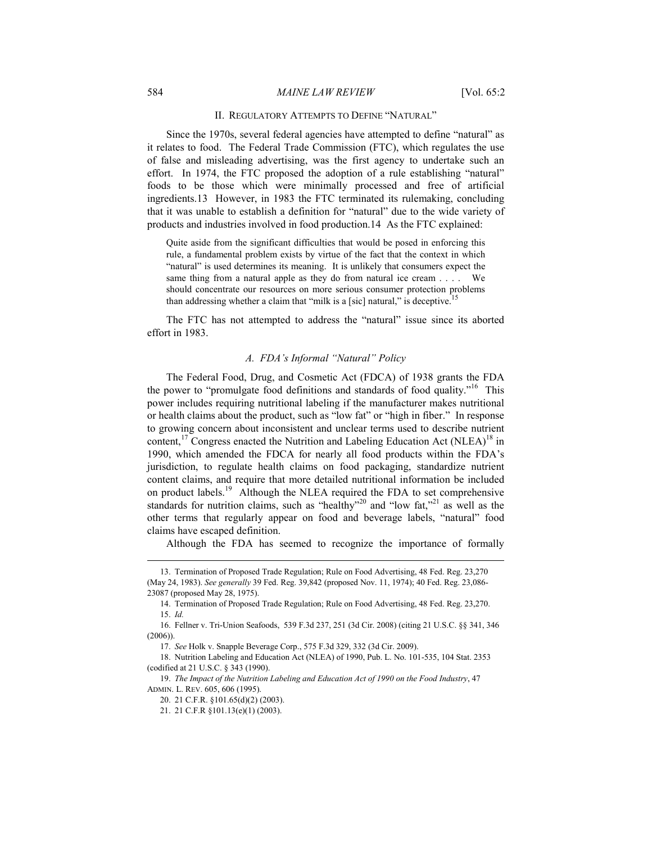#### 584 *MAINE LAW REVIEW* [Vol. 65:2

#### II. REGULATORY ATTEMPTS TO DEFINE "NATURAL"

Since the 1970s, several federal agencies have attempted to define "natural" as it relates to food. The Federal Trade Commission (FTC), which regulates the use of false and misleading advertising, was the first agency to undertake such an effort. In 1974, the FTC proposed the adoption of a rule establishing "natural" foods to be those which were minimally processed and free of artificial ingredients.13 However, in 1983 the FTC terminated its rulemaking, concluding that it was unable to establish a definition for "natural" due to the wide variety of products and industries involved in food production.14 As the FTC explained:

Quite aside from the significant difficulties that would be posed in enforcing this rule, a fundamental problem exists by virtue of the fact that the context in which "natural" is used determines its meaning. It is unlikely that consumers expect the same thing from a natural apple as they do from natural ice cream . . . . We should concentrate our resources on more serious consumer protection problems than addressing whether a claim that "milk is a [sic] natural," is deceptive.

The FTC has not attempted to address the "natural" issue since its aborted effort in 1983.

## *A. FDA's Informal "Natural" Policy*

The Federal Food, Drug, and Cosmetic Act (FDCA) of 1938 grants the FDA the power to "promulgate food definitions and standards of food quality."16 This power includes requiring nutritional labeling if the manufacturer makes nutritional or health claims about the product, such as "low fat" or "high in fiber." In response to growing concern about inconsistent and unclear terms used to describe nutrient content,<sup>17</sup> Congress enacted the Nutrition and Labeling Education Act (NLEA)<sup>18</sup> in 1990, which amended the FDCA for nearly all food products within the FDA's jurisdiction, to regulate health claims on food packaging, standardize nutrient content claims, and require that more detailed nutritional information be included on product labels.19 Although the NLEA required the FDA to set comprehensive standards for nutrition claims, such as "healthy"<sup>20</sup> and "low fat,"<sup>21</sup> as well as the other terms that regularly appear on food and beverage labels, "natural" food claims have escaped definition.

Although the FDA has seemed to recognize the importance of formally

 <sup>13.</sup> Termination of Proposed Trade Regulation; Rule on Food Advertising, 48 Fed. Reg. 23,270 (May 24, 1983). *See generally* 39 Fed. Reg. 39,842 (proposed Nov. 11, 1974); 40 Fed. Reg. 23,086- 23087 (proposed May 28, 1975).

 <sup>14.</sup> Termination of Proposed Trade Regulation; Rule on Food Advertising, 48 Fed. Reg. 23,270. 15. *Id.* 

 <sup>16.</sup> Fellner v. Tri-Union Seafoods, 539 F.3d 237, 251 (3d Cir. 2008) (citing 21 U.S.C. §§ 341, 346 (2006)).

 <sup>17.</sup> *See* Holk v. Snapple Beverage Corp., 575 F.3d 329, 332 (3d Cir. 2009).

 <sup>18.</sup> Nutrition Labeling and Education Act (NLEA) of 1990, Pub. L. No. 101-535, 104 Stat. 2353 (codified at 21 U.S.C. § 343 (1990).

 <sup>19.</sup> *The Impact of the Nutrition Labeling and Education Act of 1990 on the Food Industry*, 47 ADMIN. L. REV. 605, 606 (1995).

 <sup>20. 21</sup> C.F.R. §101.65(d)(2) (2003).

 <sup>21. 21</sup> C.F.R §101.13(e)(1) (2003).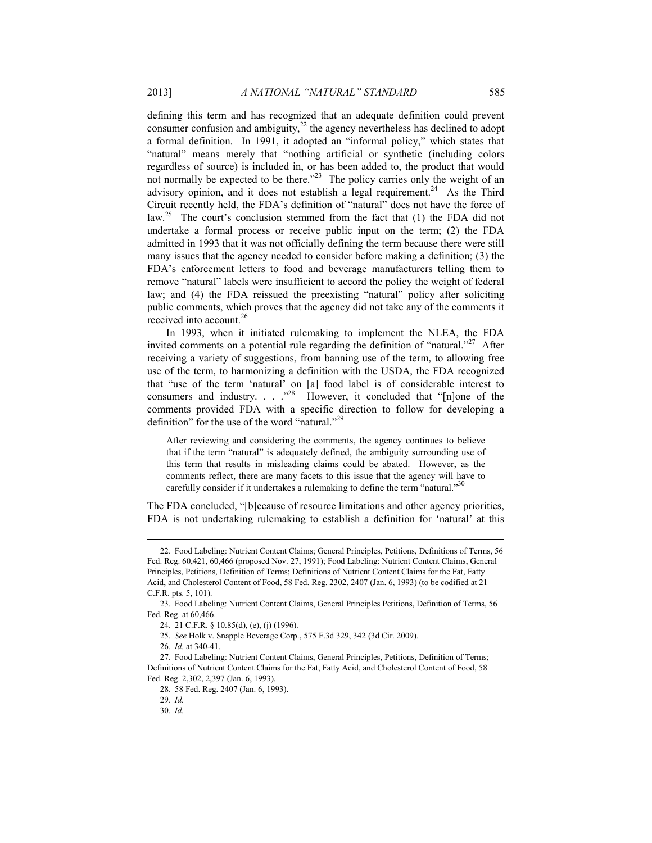defining this term and has recognized that an adequate definition could prevent consumer confusion and ambiguity, $^{22}$  the agency nevertheless has declined to adopt a formal definition. In 1991, it adopted an "informal policy," which states that "natural" means merely that "nothing artificial or synthetic (including colors regardless of source) is included in, or has been added to, the product that would not normally be expected to be there."<sup>23</sup> The policy carries only the weight of an advisory opinion, and it does not establish a legal requirement.<sup>24</sup> As the Third Circuit recently held, the FDA's definition of "natural" does not have the force of law.<sup>25</sup> The court's conclusion stemmed from the fact that (1) the FDA did not undertake a formal process or receive public input on the term; (2) the FDA admitted in 1993 that it was not officially defining the term because there were still many issues that the agency needed to consider before making a definition; (3) the FDA's enforcement letters to food and beverage manufacturers telling them to remove "natural" labels were insufficient to accord the policy the weight of federal law; and (4) the FDA reissued the preexisting "natural" policy after soliciting public comments, which proves that the agency did not take any of the comments it received into account.<sup>26</sup>

In 1993, when it initiated rulemaking to implement the NLEA, the FDA invited comments on a potential rule regarding the definition of "natural."<sup>27</sup> After receiving a variety of suggestions, from banning use of the term, to allowing free use of the term, to harmonizing a definition with the USDA, the FDA recognized that "use of the term 'natural' on [a] food label is of considerable interest to consumers and industry. . . .<sup>28</sup> However, it concluded that "[n]one of the comments provided FDA with a specific direction to follow for developing a definition" for the use of the word "natural."<sup>29</sup>

After reviewing and considering the comments, the agency continues to believe that if the term "natural" is adequately defined, the ambiguity surrounding use of this term that results in misleading claims could be abated. However, as the comments reflect, there are many facets to this issue that the agency will have to carefully consider if it undertakes a rulemaking to define the term "natural."<sup>30</sup>

The FDA concluded, "[b]ecause of resource limitations and other agency priorities, FDA is not undertaking rulemaking to establish a definition for 'natural' at this

 <sup>22.</sup> Food Labeling: Nutrient Content Claims; General Principles, Petitions, Definitions of Terms, 56 Fed. Reg. 60,421, 60,466 (proposed Nov. 27, 1991); Food Labeling: Nutrient Content Claims, General Principles, Petitions, Definition of Terms; Definitions of Nutrient Content Claims for the Fat, Fatty Acid, and Cholesterol Content of Food, 58 Fed. Reg. 2302, 2407 (Jan. 6, 1993) (to be codified at 21 C.F.R. pts. 5, 101).

 <sup>23.</sup> Food Labeling: Nutrient Content Claims, General Principles Petitions, Definition of Terms, 56 Fed. Reg. at 60,466.

 <sup>24. 21</sup> C.F.R. § 10.85(d), (e), (j) (1996).

 <sup>25.</sup> *See* Holk v. Snapple Beverage Corp., 575 F.3d 329, 342 (3d Cir. 2009).

 <sup>26.</sup> *Id.* at 340-41.

 <sup>27.</sup> Food Labeling: Nutrient Content Claims, General Principles, Petitions, Definition of Terms; Definitions of Nutrient Content Claims for the Fat, Fatty Acid, and Cholesterol Content of Food, 58 Fed. Reg. 2,302, 2,397 (Jan. 6, 1993).

 <sup>28. 58</sup> Fed. Reg. 2407 (Jan. 6, 1993).

 <sup>29.</sup> *Id.*

 <sup>30.</sup> *Id.*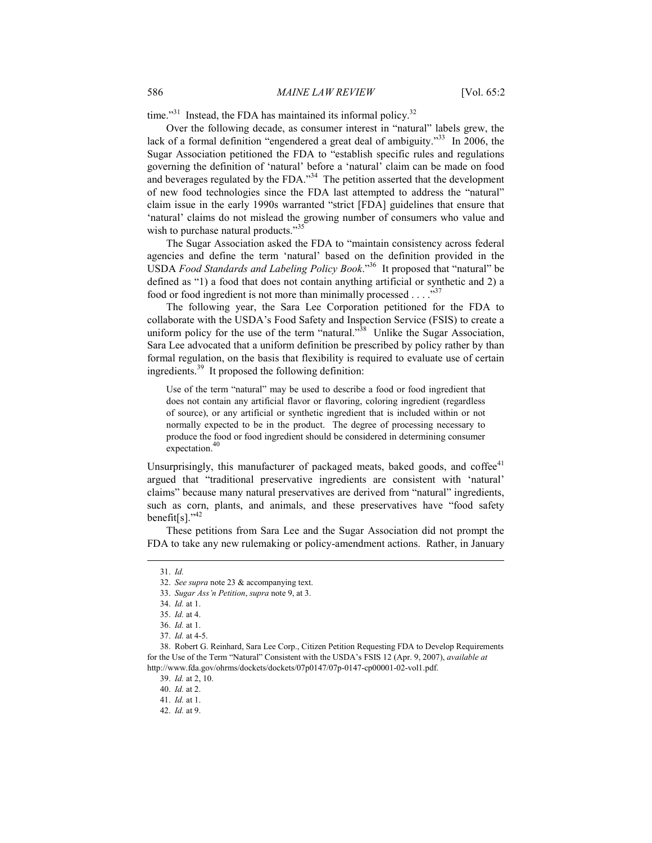time."<sup>31</sup> Instead, the FDA has maintained its informal policy.<sup>32</sup>

Over the following decade, as consumer interest in "natural" labels grew, the lack of a formal definition "engendered a great deal of ambiguity."<sup>33</sup> In 2006, the Sugar Association petitioned the FDA to "establish specific rules and regulations governing the definition of 'natural' before a 'natural' claim can be made on food and beverages regulated by the FDA."<sup>34</sup> The petition asserted that the development of new food technologies since the FDA last attempted to address the "natural" claim issue in the early 1990s warranted "strict [FDA] guidelines that ensure that 'natural' claims do not mislead the growing number of consumers who value and wish to purchase natural products."<sup>35</sup>

The Sugar Association asked the FDA to "maintain consistency across federal agencies and define the term 'natural' based on the definition provided in the USDA *Food Standards and Labeling Policy Book*."36 It proposed that "natural" be defined as "1) a food that does not contain anything artificial or synthetic and 2) a food or food ingredient is not more than minimally processed . . . . " $37$ "

The following year, the Sara Lee Corporation petitioned for the FDA to collaborate with the USDA's Food Safety and Inspection Service (FSIS) to create a uniform policy for the use of the term "natural."<sup>38</sup> Unlike the Sugar Association, Sara Lee advocated that a uniform definition be prescribed by policy rather by than formal regulation, on the basis that flexibility is required to evaluate use of certain ingredients.39 It proposed the following definition:

Use of the term "natural" may be used to describe a food or food ingredient that does not contain any artificial flavor or flavoring, coloring ingredient (regardless of source), or any artificial or synthetic ingredient that is included within or not normally expected to be in the product. The degree of processing necessary to produce the food or food ingredient should be considered in determining consumer expectation.<sup>40</sup>

Unsurprisingly, this manufacturer of packaged meats, baked goods, and coffee $41$ argued that "traditional preservative ingredients are consistent with 'natural' claims" because many natural preservatives are derived from "natural" ingredients, such as corn, plants, and animals, and these preservatives have "food safety benefit[s]."<sup>42</sup>

These petitions from Sara Lee and the Sugar Association did not prompt the FDA to take any new rulemaking or policy-amendment actions. Rather, in January

 <sup>31.</sup> *Id.*

 <sup>32.</sup> *See supra* note 23 & accompanying text.

 <sup>33.</sup> *Sugar Ass'n Petition*, *supra* note 9, at 3.

 <sup>34.</sup> *Id.* at 1.

 <sup>35.</sup> *Id.* at 4.

 <sup>36.</sup> *Id.* at 1.

 <sup>37.</sup> *Id.* at 4-5.

 <sup>38.</sup> Robert G. Reinhard, Sara Lee Corp., Citizen Petition Requesting FDA to Develop Requirements for the Use of the Term "Natural" Consistent with the USDA's FSIS 12 (Apr. 9, 2007), *available at* http://www.fda.gov/ohrms/dockets/dockets/07p0147/07p-0147-cp00001-02-vol1.pdf.

 <sup>39.</sup> *Id.* at 2, 10.

 <sup>40.</sup> *Id.* at 2.

 <sup>41.</sup> *Id.* at 1.

 <sup>42.</sup> *Id.* at 9.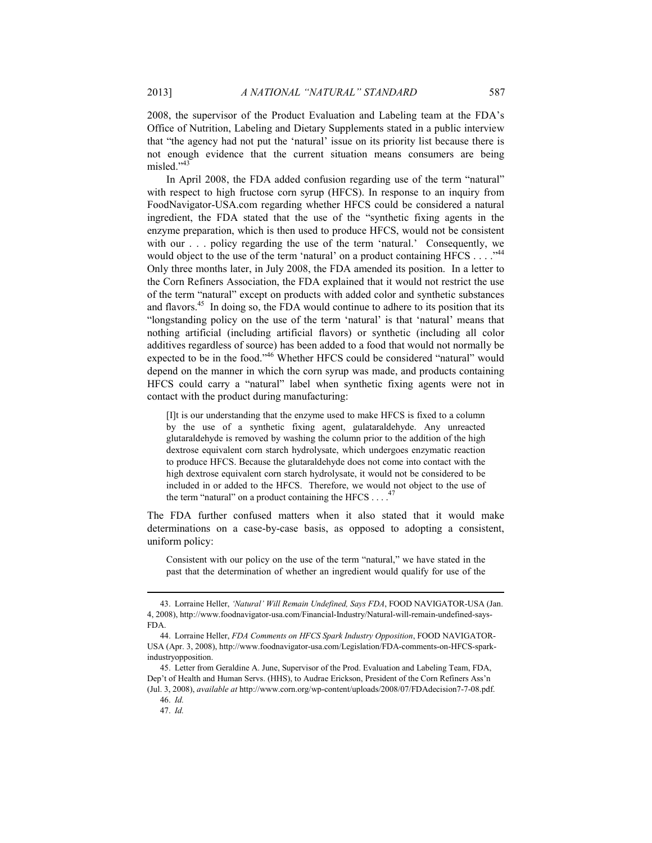2008, the supervisor of the Product Evaluation and Labeling team at the FDA's Office of Nutrition, Labeling and Dietary Supplements stated in a public interview that "the agency had not put the 'natural' issue on its priority list because there is not enough evidence that the current situation means consumers are being misled $^{7,43}$ 

In April 2008, the FDA added confusion regarding use of the term "natural" with respect to high fructose corn syrup (HFCS). In response to an inquiry from FoodNavigator-USA.com regarding whether HFCS could be considered a natural ingredient, the FDA stated that the use of the "synthetic fixing agents in the enzyme preparation, which is then used to produce HFCS, would not be consistent with our . . . policy regarding the use of the term 'natural.' Consequently, we would object to the use of the term 'natural' on a product containing HFCS  $\dots$ ."<sup>44</sup> Only three months later, in July 2008, the FDA amended its position. In a letter to the Corn Refiners Association, the FDA explained that it would not restrict the use of the term "natural" except on products with added color and synthetic substances and flavors.45 In doing so, the FDA would continue to adhere to its position that its "longstanding policy on the use of the term 'natural' is that 'natural' means that nothing artificial (including artificial flavors) or synthetic (including all color additives regardless of source) has been added to a food that would not normally be expected to be in the food."<sup>46</sup> Whether HFCS could be considered "natural" would depend on the manner in which the corn syrup was made, and products containing HFCS could carry a "natural" label when synthetic fixing agents were not in contact with the product during manufacturing:

[I]t is our understanding that the enzyme used to make HFCS is fixed to a column by the use of a synthetic fixing agent, gulataraldehyde. Any unreacted glutaraldehyde is removed by washing the column prior to the addition of the high dextrose equivalent corn starch hydrolysate, which undergoes enzymatic reaction to produce HFCS. Because the glutaraldehyde does not come into contact with the high dextrose equivalent corn starch hydrolysate, it would not be considered to be included in or added to the HFCS. Therefore, we would not object to the use of the term "natural" on a product containing the HFCS  $\ldots$ .<sup>47</sup>

The FDA further confused matters when it also stated that it would make determinations on a case-by-case basis, as opposed to adopting a consistent, uniform policy:

Consistent with our policy on the use of the term "natural," we have stated in the past that the determination of whether an ingredient would qualify for use of the

 <sup>43.</sup> Lorraine Heller, *'Natural' Will Remain Undefined, Says FDA*, FOOD NAVIGATOR-USA (Jan. 4, 2008), http://www.foodnavigator-usa.com/Financial-Industry/Natural-will-remain-undefined-says-FDA.

 <sup>44.</sup> Lorraine Heller, *FDA Comments on HFCS Spark Industry Opposition*, FOOD NAVIGATOR-USA (Apr. 3, 2008), http://www.foodnavigator-usa.com/Legislation/FDA-comments-on-HFCS-sparkindustryopposition.

 <sup>45.</sup> Letter from Geraldine A. June, Supervisor of the Prod. Evaluation and Labeling Team, FDA, Dep't of Health and Human Servs. (HHS), to Audrae Erickson, President of the Corn Refiners Ass'n (Jul. 3, 2008), *available at* http://www.corn.org/wp-content/uploads/2008/07/FDAdecision7-7-08.pdf.

 <sup>46.</sup> *Id.*

 <sup>47.</sup> *Id.*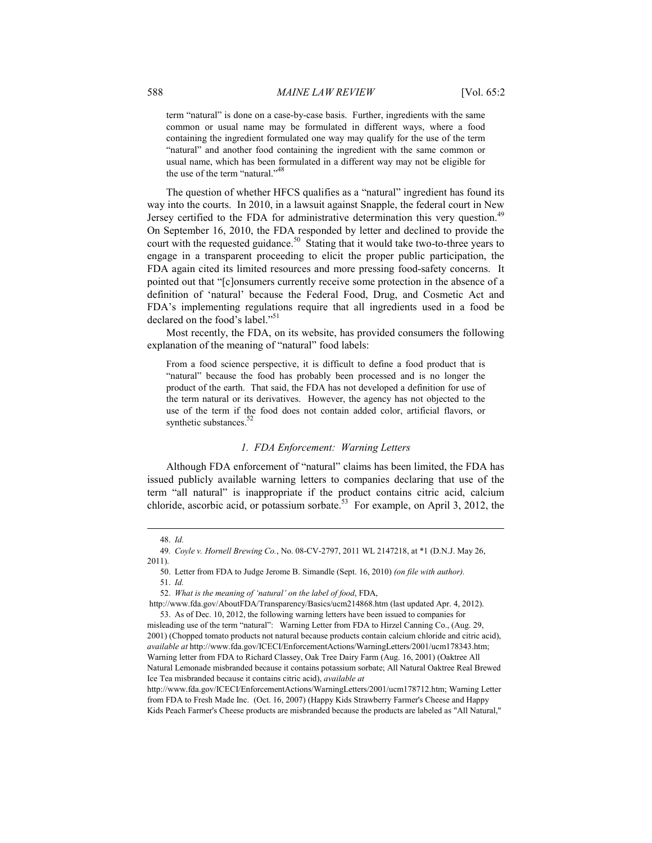term "natural" is done on a case-by-case basis. Further, ingredients with the same common or usual name may be formulated in different ways, where a food containing the ingredient formulated one way may qualify for the use of the term "natural" and another food containing the ingredient with the same common or usual name, which has been formulated in a different way may not be eligible for the use of the term "natural."<sup>48</sup>

The question of whether HFCS qualifies as a "natural" ingredient has found its way into the courts. In 2010, in a lawsuit against Snapple, the federal court in New Jersey certified to the FDA for administrative determination this very question.<sup>49</sup> On September 16, 2010, the FDA responded by letter and declined to provide the court with the requested guidance.<sup>50</sup> Stating that it would take two-to-three years to engage in a transparent proceeding to elicit the proper public participation, the FDA again cited its limited resources and more pressing food-safety concerns. It pointed out that "[c]onsumers currently receive some protection in the absence of a definition of 'natural' because the Federal Food, Drug, and Cosmetic Act and FDA's implementing regulations require that all ingredients used in a food be declared on the food's label."<sup>51</sup>

Most recently, the FDA, on its website, has provided consumers the following explanation of the meaning of "natural" food labels:

From a food science perspective, it is difficult to define a food product that is "natural" because the food has probably been processed and is no longer the product of the earth. That said, the FDA has not developed a definition for use of the term natural or its derivatives. However, the agency has not objected to the use of the term if the food does not contain added color, artificial flavors, or synthetic substances.<sup>5</sup>

#### *1. FDA Enforcement: Warning Letters*

Although FDA enforcement of "natural" claims has been limited, the FDA has issued publicly available warning letters to companies declaring that use of the term "all natural" is inappropriate if the product contains citric acid, calcium chloride, ascorbic acid, or potassium sorbate.<sup>53</sup> For example, on April 3, 2012, the

l

52. *What is the meaning of 'natural' on the label of food*, FDA,

 http://www.fda.gov/AboutFDA/Transparency/Basics/ucm214868.htm (last updated Apr. 4, 2012). 53. As of Dec. 10, 2012, the following warning letters have been issued to companies for

 <sup>48.</sup> *Id.* 

<sup>49</sup>*. Coyle v. Hornell Brewing Co.*, No. 08-CV-2797, 2011 WL 2147218, at \*1 (D.N.J. May 26, 2011).

 <sup>50.</sup> Letter from FDA to Judge Jerome B. Simandle (Sept. 16, 2010) *(on file with author).* 51. *Id.* 

misleading use of the term "natural": Warning Letter from FDA to Hirzel Canning Co., (Aug. 29, 2001) (Chopped tomato products not natural because products contain calcium chloride and citric acid), *available at* http://www.fda.gov/ICECI/EnforcementActions/WarningLetters/2001/ucm178343.htm; Warning letter from FDA to Richard Classey, Oak Tree Dairy Farm (Aug. 16, 2001) (Oaktree All Natural Lemonade misbranded because it contains potassium sorbate; All Natural Oaktree Real Brewed Ice Tea misbranded because it contains citric acid), *available at*

http://www.fda.gov/ICECI/EnforcementActions/WarningLetters/2001/ucm178712.htm; Warning Letter from FDA to Fresh Made Inc. (Oct. 16, 2007) (Happy Kids Strawberry Farmer's Cheese and Happy Kids Peach Farmer's Cheese products are misbranded because the products are labeled as "All Natural,"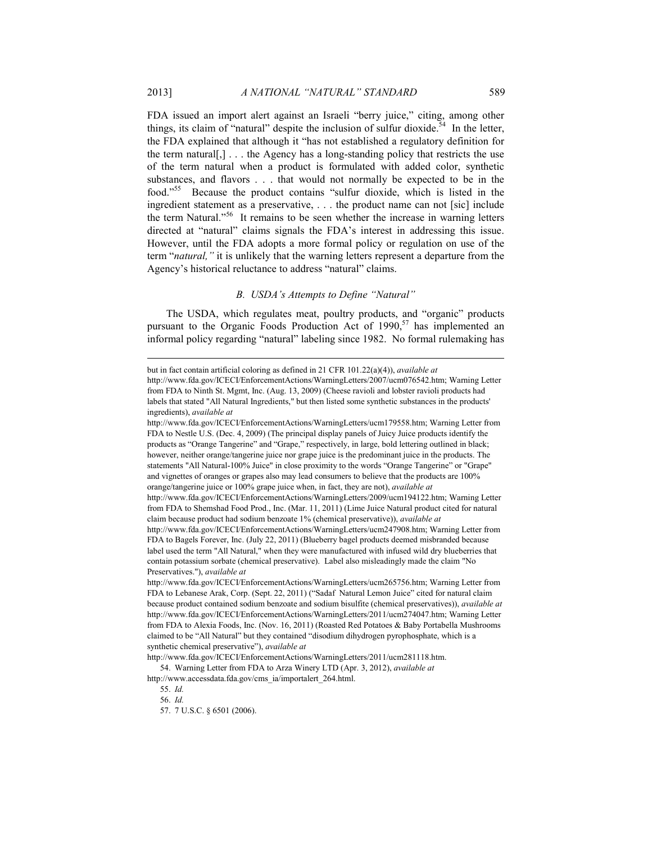FDA issued an import alert against an Israeli "berry juice," citing, among other things, its claim of "natural" despite the inclusion of sulfur dioxide.<sup>54</sup> In the letter, the FDA explained that although it "has not established a regulatory definition for the term natural[,]... the Agency has a long-standing policy that restricts the use of the term natural when a product is formulated with added color, synthetic substances, and flavors . . . that would not normally be expected to be in the food."55 Because the product contains "sulfur dioxide, which is listed in the ingredient statement as a preservative, . . . the product name can not [sic] include the term Natural."56 It remains to be seen whether the increase in warning letters directed at "natural" claims signals the FDA's interest in addressing this issue. However, until the FDA adopts a more formal policy or regulation on use of the term "*natural,"* it is unlikely that the warning letters represent a departure from the Agency's historical reluctance to address "natural" claims.

#### *B. USDA's Attempts to Define "Natural"*

The USDA, which regulates meat, poultry products, and "organic" products pursuant to the Organic Foods Production Act of  $1990$ ,<sup>57</sup> has implemented an informal policy regarding "natural" labeling since 1982. No formal rulemaking has

but in fact contain artificial coloring as defined in 21 CFR 101.22(a)(4)), *available at*

http://www.fda.gov/ICECI/EnforcementActions/WarningLetters/2007/ucm076542.htm; Warning Letter from FDA to Ninth St. Mgmt, Inc. (Aug. 13, 2009) (Cheese ravioli and lobster ravioli products had labels that stated "All Natural Ingredients," but then listed some synthetic substances in the products' ingredients), *available at*

http://www.fda.gov/ICECI/EnforcementActions/WarningLetters/ucm179558.htm; Warning Letter from FDA to Nestle U.S. (Dec. 4, 2009) (The principal display panels of Juicy Juice products identify the products as "Orange Tangerine" and "Grape," respectively, in large, bold lettering outlined in black; however, neither orange/tangerine juice nor grape juice is the predominant juice in the products. The statements "All Natural-100% Juice" in close proximity to the words "Orange Tangerine" or "Grape" and vignettes of oranges or grapes also may lead consumers to believe that the products are 100% orange/tangerine juice or 100% grape juice when, in fact, they are not), *available at*

http://www.fda.gov/ICECI/EnforcementActions/WarningLetters/2009/ucm194122.htm; Warning Letter from FDA to Shemshad Food Prod., Inc. (Mar. 11, 2011) (Lime Juice Natural product cited for natural claim because product had sodium benzoate 1% (chemical preservative)), *available at*

http://www.fda.gov/ICECI/EnforcementActions/WarningLetters/ucm247908.htm; Warning Letter from FDA to Bagels Forever, Inc. (July 22, 2011) (Blueberry bagel products deemed misbranded because label used the term "All Natural," when they were manufactured with infused wild dry blueberries that contain potassium sorbate (chemical preservative). Label also misleadingly made the claim "No Preservatives."), *available at*

http://www.fda.gov/ICECI/EnforcementActions/WarningLetters/ucm265756.htm; Warning Letter from FDA to Lebanese Arak, Corp. (Sept. 22, 2011) ("Sadaf Natural Lemon Juice" cited for natural claim because product contained sodium benzoate and sodium bisulfite (chemical preservatives)), *available at* http://www.fda.gov/ICECI/EnforcementActions/WarningLetters/2011/ucm274047.htm; Warning Letter from FDA to Alexia Foods, Inc. (Nov. 16, 2011) (Roasted Red Potatoes & Baby Portabella Mushrooms claimed to be "All Natural" but they contained "disodium dihydrogen pyrophosphate, which is a synthetic chemical preservative"), *available at*

http://www.fda.gov/ICECI/EnforcementActions/WarningLetters/2011/ucm281118.htm. 54. Warning Letter from FDA to Arza Winery LTD (Apr. 3, 2012), *available at*

http://www.accessdata.fda.gov/cms\_ia/importalert\_264.html.

 <sup>55.</sup> *Id.* 

 <sup>56.</sup> *Id.*

 <sup>57. 7</sup> U.S.C. § 6501 (2006).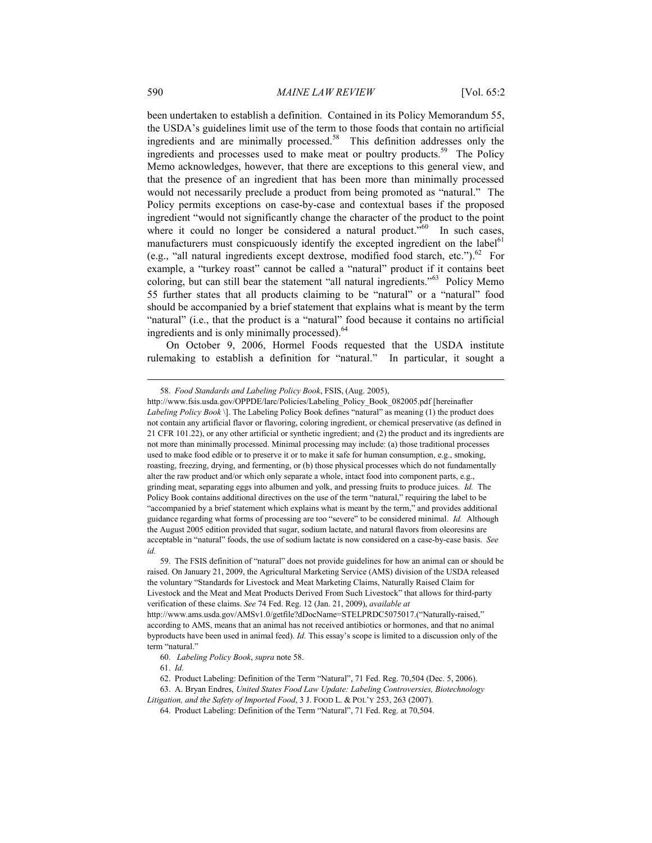been undertaken to establish a definition. Contained in its Policy Memorandum 55, the USDA's guidelines limit use of the term to those foods that contain no artificial ingredients and are minimally processed.58 This definition addresses only the ingredients and processes used to make meat or poultry products.<sup>59</sup> The Policy Memo acknowledges, however, that there are exceptions to this general view, and that the presence of an ingredient that has been more than minimally processed would not necessarily preclude a product from being promoted as "natural." The Policy permits exceptions on case-by-case and contextual bases if the proposed ingredient "would not significantly change the character of the product to the point where it could no longer be considered a natural product.<sup> $560$ </sup> In such cases, manufacturers must conspicuously identify the excepted ingredient on the label<sup>61</sup> (e.g., "all natural ingredients except dextrose, modified food starch, etc.").<sup>62</sup> For example, a "turkey roast" cannot be called a "natural" product if it contains beet coloring, but can still bear the statement "all natural ingredients."63 Policy Memo 55 further states that all products claiming to be "natural" or a "natural" food should be accompanied by a brief statement that explains what is meant by the term "natural" (i.e., that the product is a "natural" food because it contains no artificial ingredients and is only minimally processed).<sup>64</sup>

On October 9, 2006, Hormel Foods requested that the USDA institute rulemaking to establish a definition for "natural." In particular, it sought a

61. *Id.*

 <sup>58.</sup> *Food Standards and Labeling Policy Book*, FSIS, (Aug. 2005),

http://www.fsis.usda.gov/OPPDE/larc/Policies/Labeling\_Policy\_Book\_082005.pdf [hereinafter *Labeling Policy Book* \]. The Labeling Policy Book defines "natural" as meaning (1) the product does not contain any artificial flavor or flavoring, coloring ingredient, or chemical preservative (as defined in 21 CFR 101.22), or any other artificial or synthetic ingredient; and (2) the product and its ingredients are not more than minimally processed. Minimal processing may include: (a) those traditional processes used to make food edible or to preserve it or to make it safe for human consumption, e.g., smoking, roasting, freezing, drying, and fermenting, or (b) those physical processes which do not fundamentally alter the raw product and/or which only separate a whole, intact food into component parts, e.g., grinding meat, separating eggs into albumen and yolk, and pressing fruits to produce juices. *Id.* The Policy Book contains additional directives on the use of the term "natural," requiring the label to be "accompanied by a brief statement which explains what is meant by the term," and provides additional guidance regarding what forms of processing are too "severe" to be considered minimal. *Id.* Although the August 2005 edition provided that sugar, sodium lactate, and natural flavors from oleoresins are acceptable in "natural" foods, the use of sodium lactate is now considered on a case-by-case basis. *See id.*

 <sup>59.</sup> The FSIS definition of "natural" does not provide guidelines for how an animal can or should be raised. On January 21, 2009, the Agricultural Marketing Service (AMS) division of the USDA released the voluntary "Standards for Livestock and Meat Marketing Claims, Naturally Raised Claim for Livestock and the Meat and Meat Products Derived From Such Livestock" that allows for third-party verification of these claims. *See* 74 Fed. Reg. 12 (Jan. 21, 2009), *available at* http://www.ams.usda.gov/AMSv1.0/getfile?dDocName=STELPRDC5075017.("Naturally-raised," according to AMS, means that an animal has not received antibiotics or hormones, and that no animal byproducts have been used in animal feed). *Id.* This essay's scope is limited to a discussion only of the term "natural."

 <sup>60.</sup> *Labeling Policy Book*, *supra* note 58.

 <sup>62.</sup> Product Labeling: Definition of the Term "Natural", 71 Fed. Reg. 70,504 (Dec. 5, 2006).

 <sup>63.</sup> A. Bryan Endres, *United States Food Law Update: Labeling Controversies, Biotechnology* 

*Litigation, and the Safety of Imported Food*, 3 J. FOOD L. & POL'Y 253, 263 (2007).

 <sup>64.</sup> Product Labeling: Definition of the Term "Natural", 71 Fed. Reg. at 70,504.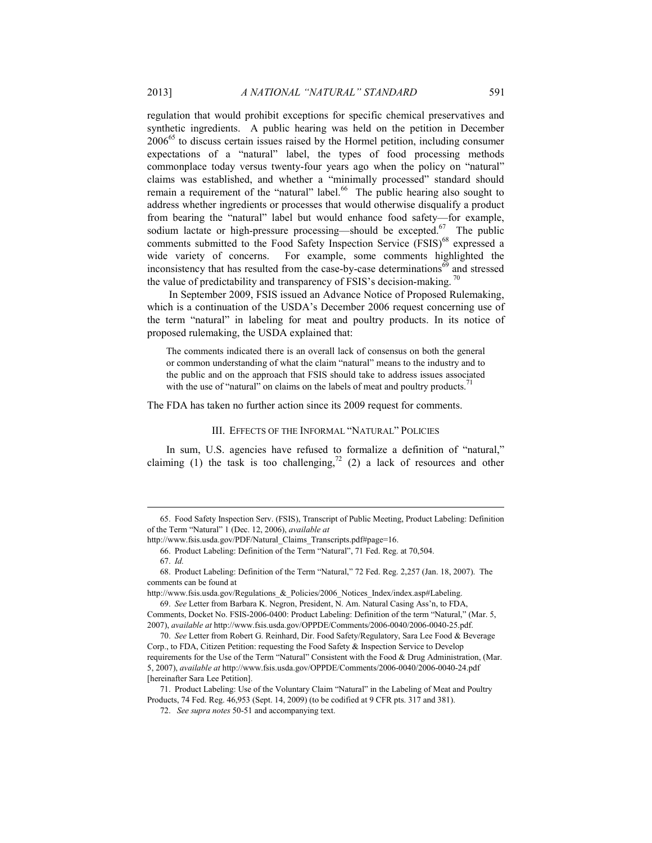regulation that would prohibit exceptions for specific chemical preservatives and synthetic ingredients. A public hearing was held on the petition in December 2006<sup>65</sup> to discuss certain issues raised by the Hormel petition, including consumer expectations of a "natural" label, the types of food processing methods commonplace today versus twenty-four years ago when the policy on "natural" claims was established, and whether a "minimally processed" standard should remain a requirement of the "natural" label.<sup>66</sup> The public hearing also sought to address whether ingredients or processes that would otherwise disqualify a product from bearing the "natural" label but would enhance food safety—for example, sodium lactate or high-pressure processing—should be excepted.<sup>67</sup> The public comments submitted to the Food Safety Inspection Service (FSIS)<sup>68</sup> expressed a wide variety of concerns. For example, some comments highlighted the inconsistency that has resulted from the case-by-case determinations<sup>69</sup> and stressed the value of predictability and transparency of FSIS's decision-making.<sup>70</sup>

 In September 2009, FSIS issued an Advance Notice of Proposed Rulemaking, which is a continuation of the USDA's December 2006 request concerning use of the term "natural" in labeling for meat and poultry products. In its notice of proposed rulemaking, the USDA explained that:

The comments indicated there is an overall lack of consensus on both the general or common understanding of what the claim "natural" means to the industry and to the public and on the approach that FSIS should take to address issues associated with the use of "natural" on claims on the labels of meat and poultry products.<sup>71</sup>

The FDA has taken no further action since its 2009 request for comments.

#### III. EFFECTS OF THE INFORMAL "NATURAL" POLICIES

In sum, U.S. agencies have refused to formalize a definition of "natural," claiming (1) the task is too challenging,<sup>72</sup> (2) a lack of resources and other

Comments, Docket No. FSIS-2006-0400: Product Labeling: Definition of the term "Natural," (Mar. 5, 2007), *available at* http://www.fsis.usda.gov/OPPDE/Comments/2006-0040/2006-0040-25.pdf.

 <sup>65.</sup> Food Safety Inspection Serv. (FSIS), Transcript of Public Meeting, Product Labeling: Definition of the Term "Natural" 1 (Dec. 12, 2006), *available at*

http://www.fsis.usda.gov/PDF/Natural\_Claims\_Transcripts.pdf#page=16.

 <sup>66.</sup> Product Labeling: Definition of the Term "Natural", 71 Fed. Reg. at 70,504.

 <sup>67.</sup> *Id.*

 <sup>68.</sup> Product Labeling: Definition of the Term "Natural," 72 Fed. Reg. 2,257 (Jan. 18, 2007). The comments can be found at

http://www.fsis.usda.gov/Regulations & Policies/2006 Notices Index/index.asp#Labeling. 69. *See* Letter from Barbara K. Negron, President, N. Am. Natural Casing Ass'n, to FDA,

 <sup>70.</sup> *See* Letter from Robert G. Reinhard, Dir. Food Safety/Regulatory, Sara Lee Food & Beverage Corp., to FDA, Citizen Petition: requesting the Food Safety & Inspection Service to Develop requirements for the Use of the Term "Natural" Consistent with the Food & Drug Administration, (Mar. 5, 2007), *available at* http://www.fsis.usda.gov/OPPDE/Comments/2006-0040/2006-0040-24.pdf [hereinafter Sara Lee Petition].

 <sup>71.</sup> Product Labeling: Use of the Voluntary Claim "Natural" in the Labeling of Meat and Poultry Products, 74 Fed. Reg. 46,953 (Sept. 14, 2009) (to be codified at 9 CFR pts. 317 and 381).

 <sup>72.</sup> *See supra notes* 50-51 and accompanying text.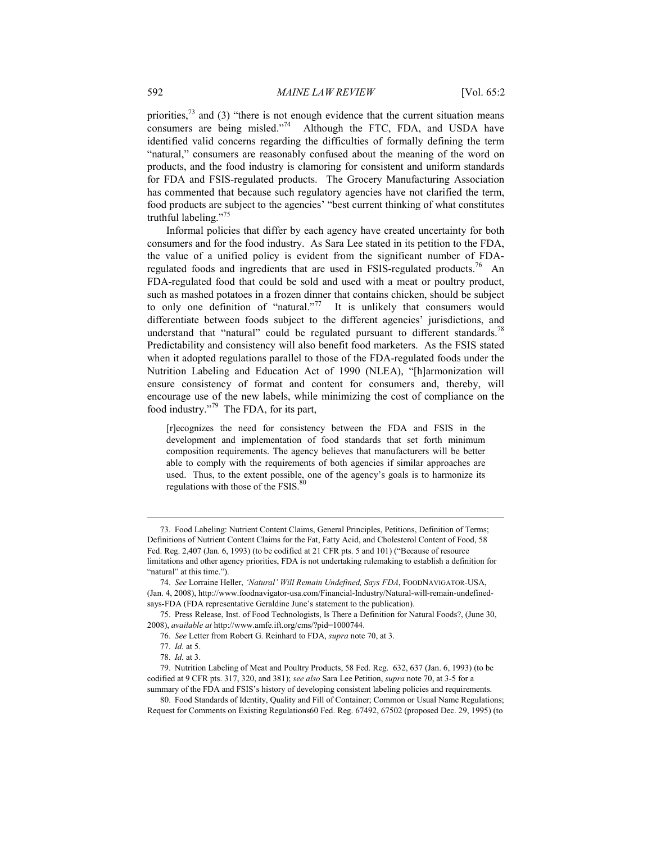priorities, $^{73}$  and (3) "there is not enough evidence that the current situation means consumers are being misled."<sup>74</sup> Although the FTC, FDA, and USDA have identified valid concerns regarding the difficulties of formally defining the term "natural," consumers are reasonably confused about the meaning of the word on products, and the food industry is clamoring for consistent and uniform standards for FDA and FSIS-regulated products. The Grocery Manufacturing Association has commented that because such regulatory agencies have not clarified the term, food products are subject to the agencies' "best current thinking of what constitutes truthful labeling."<sup>75</sup>

Informal policies that differ by each agency have created uncertainty for both consumers and for the food industry. As Sara Lee stated in its petition to the FDA, the value of a unified policy is evident from the significant number of FDAregulated foods and ingredients that are used in FSIS-regulated products.<sup>76</sup> An FDA-regulated food that could be sold and used with a meat or poultry product, such as mashed potatoes in a frozen dinner that contains chicken, should be subject to only one definition of "natural."<sup>77</sup> It is unlikely that consumers would differentiate between foods subject to the different agencies' jurisdictions, and understand that "natural" could be regulated pursuant to different standards.<sup>78</sup> Predictability and consistency will also benefit food marketers. As the FSIS stated when it adopted regulations parallel to those of the FDA-regulated foods under the Nutrition Labeling and Education Act of 1990 (NLEA), "[h]armonization will ensure consistency of format and content for consumers and, thereby, will encourage use of the new labels, while minimizing the cost of compliance on the food industry."79 The FDA, for its part,

[r]ecognizes the need for consistency between the FDA and FSIS in the development and implementation of food standards that set forth minimum composition requirements. The agency believes that manufacturers will be better able to comply with the requirements of both agencies if similar approaches are used. Thus, to the extent possible, one of the agency's goals is to harmonize its regulations with those of the  $F SIS$ .

 <sup>73.</sup> Food Labeling: Nutrient Content Claims, General Principles, Petitions, Definition of Terms; Definitions of Nutrient Content Claims for the Fat, Fatty Acid, and Cholesterol Content of Food, 58 Fed. Reg. 2,407 (Jan. 6, 1993) (to be codified at 21 CFR pts. 5 and 101) ("Because of resource limitations and other agency priorities, FDA is not undertaking rulemaking to establish a definition for "natural" at this time.").

 <sup>74.</sup> *See* Lorraine Heller, *'Natural' Will Remain Undefined, Says FDA*, FOODNAVIGATOR-USA, (Jan. 4, 2008), http://www.foodnavigator-usa.com/Financial-Industry/Natural-will-remain-undefinedsays-FDA (FDA representative Geraldine June's statement to the publication).

 <sup>75.</sup> Press Release, Inst. of Food Technologists, Is There a Definition for Natural Foods?, (June 30, 2008), *available at* http://www.amfe.ift.org/cms/?pid=1000744.

 <sup>76.</sup> *See* Letter from Robert G. Reinhard to FDA, *supra* note 70, at 3.

 <sup>77.</sup> *Id.* at 5.

 <sup>78.</sup> *Id.* at 3.

 <sup>79.</sup> Nutrition Labeling of Meat and Poultry Products, 58 Fed. Reg. 632, 637 (Jan. 6, 1993) (to be codified at 9 CFR pts. 317, 320, and 381); *see also* Sara Lee Petition, *supra* note 70, at 3-5 for a summary of the FDA and FSIS's history of developing consistent labeling policies and requirements.

 <sup>80.</sup> Food Standards of Identity, Quality and Fill of Container; Common or Usual Name Regulations; Request for Comments on Existing Regulations60 Fed. Reg. 67492, 67502 (proposed Dec. 29, 1995) (to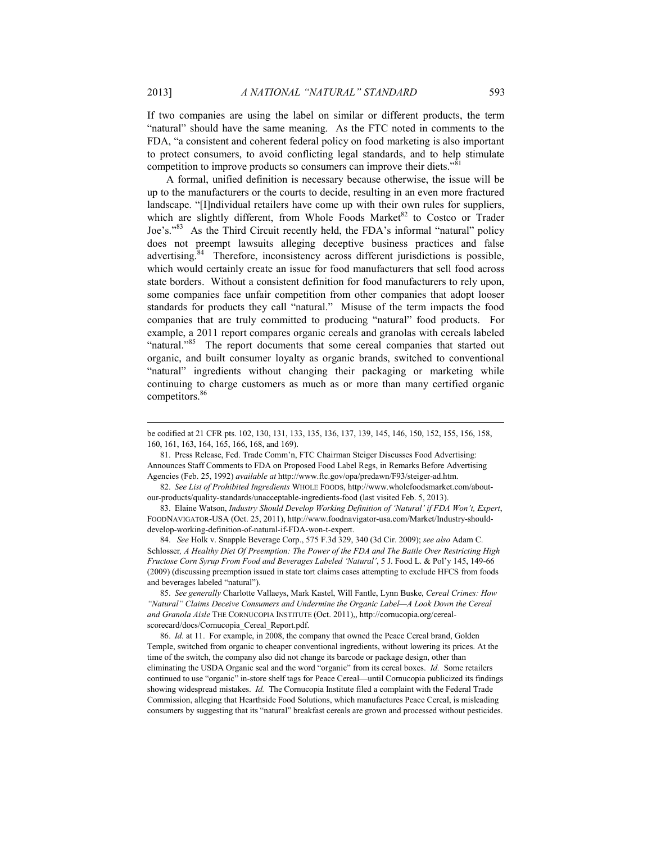If two companies are using the label on similar or different products, the term "natural" should have the same meaning. As the FTC noted in comments to the FDA, "a consistent and coherent federal policy on food marketing is also important to protect consumers, to avoid conflicting legal standards, and to help stimulate competition to improve products so consumers can improve their diets."<sup>81</sup>

A formal, unified definition is necessary because otherwise, the issue will be up to the manufacturers or the courts to decide, resulting in an even more fractured landscape. "[I]ndividual retailers have come up with their own rules for suppliers, which are slightly different, from Whole Foods Market $82$  to Costco or Trader Joe's."83 As the Third Circuit recently held, the FDA's informal "natural" policy does not preempt lawsuits alleging deceptive business practices and false advertising.<sup>84</sup> Therefore, inconsistency across different jurisdictions is possible, which would certainly create an issue for food manufacturers that sell food across state borders. Without a consistent definition for food manufacturers to rely upon, some companies face unfair competition from other companies that adopt looser standards for products they call "natural." Misuse of the term impacts the food companies that are truly committed to producing "natural" food products. For example, a 2011 report compares organic cereals and granolas with cereals labeled "natural."<sup>85</sup> The report documents that some cereal companies that started out organic, and built consumer loyalty as organic brands, switched to conventional "natural" ingredients without changing their packaging or marketing while continuing to charge customers as much as or more than many certified organic competitors.<sup>86</sup>

 81. Press Release, Fed. Trade Comm'n, FTC Chairman Steiger Discusses Food Advertising: Announces Staff Comments to FDA on Proposed Food Label Regs, in Remarks Before Advertising Agencies (Feb. 25, 1992) *available at* http://www.ftc.gov/opa/predawn/F93/steiger-ad.htm.

 82. *See List of Prohibited Ingredients* WHOLE FOODS, http://www.wholefoodsmarket.com/aboutour-products/quality-standards/unacceptable-ingredients-food (last visited Feb. 5, 2013).

 83. Elaine Watson, *Industry Should Develop Working Definition of 'Natural' if FDA Won't, Expert*, FOODNAVIGATOR-USA (Oct. 25, 2011), http://www.foodnavigator-usa.com/Market/Industry-shoulddevelop-working-definition-of-natural-if-FDA-won-t-expert.

 84. *See* Holk v. Snapple Beverage Corp., 575 F.3d 329, 340 (3d Cir. 2009); *see also* Adam C. Schlosser*, A Healthy Diet Of Preemption: The Power of the FDA and The Battle Over Restricting High Fructose Corn Syrup From Food and Beverages Labeled 'Natural'*, 5 J. Food L. & Pol'y 145, 149-66 (2009) (discussing preemption issued in state tort claims cases attempting to exclude HFCS from foods and beverages labeled "natural").

 85. *See generally* Charlotte Vallaeys, Mark Kastel, Will Fantle, Lynn Buske, *Cereal Crimes: How "Natural" Claims Deceive Consumers and Undermine the Organic Label—A Look Down the Cereal and Granola Aisle* THE CORNUCOPIA INSTITUTE (Oct. 2011),, http://cornucopia.org/cerealscorecard/docs/Cornucopia\_Cereal\_Report.pdf.

 86. *Id.* at 11. For example, in 2008, the company that owned the Peace Cereal brand, Golden Temple, switched from organic to cheaper conventional ingredients, without lowering its prices. At the time of the switch, the company also did not change its barcode or package design, other than eliminating the USDA Organic seal and the word "organic" from its cereal boxes. *Id.* Some retailers continued to use "organic" in-store shelf tags for Peace Cereal—until Cornucopia publicized its findings showing widespread mistakes. *Id.* The Cornucopia Institute filed a complaint with the Federal Trade Commission, alleging that Hearthside Food Solutions, which manufactures Peace Cereal, is misleading consumers by suggesting that its "natural" breakfast cereals are grown and processed without pesticides.

be codified at 21 CFR pts. 102, 130, 131, 133, 135, 136, 137, 139, 145, 146, 150, 152, 155, 156, 158, 160, 161, 163, 164, 165, 166, 168, and 169).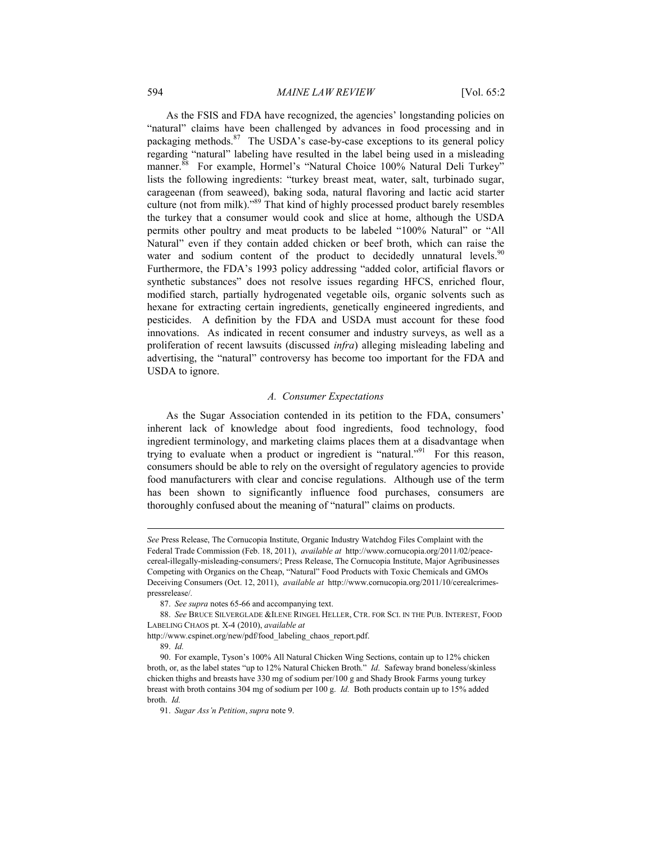As the FSIS and FDA have recognized, the agencies' longstanding policies on "natural" claims have been challenged by advances in food processing and in packaging methods.<sup>87</sup> The USDA's case-by-case exceptions to its general policy regarding "natural" labeling have resulted in the label being used in a misleading manner.<sup>88</sup> For example, Hormel's "Natural Choice 100% Natural Deli Turkey" lists the following ingredients: "turkey breast meat, water, salt, turbinado sugar, carageenan (from seaweed), baking soda, natural flavoring and lactic acid starter culture (not from milk)."89 That kind of highly processed product barely resembles the turkey that a consumer would cook and slice at home, although the USDA permits other poultry and meat products to be labeled "100% Natural" or "All Natural" even if they contain added chicken or beef broth, which can raise the water and sodium content of the product to decidedly unnatural levels.  $90$ Furthermore, the FDA's 1993 policy addressing "added color, artificial flavors or synthetic substances" does not resolve issues regarding HFCS, enriched flour, modified starch, partially hydrogenated vegetable oils, organic solvents such as hexane for extracting certain ingredients, genetically engineered ingredients, and pesticides. A definition by the FDA and USDA must account for these food innovations. As indicated in recent consumer and industry surveys, as well as a proliferation of recent lawsuits (discussed *infra*) alleging misleading labeling and advertising, the "natural" controversy has become too important for the FDA and USDA to ignore.

#### *A. Consumer Expectations*

As the Sugar Association contended in its petition to the FDA, consumers' inherent lack of knowledge about food ingredients, food technology, food ingredient terminology, and marketing claims places them at a disadvantage when trying to evaluate when a product or ingredient is "natural."<sup>91</sup> For this reason, consumers should be able to rely on the oversight of regulatory agencies to provide food manufacturers with clear and concise regulations. Although use of the term has been shown to significantly influence food purchases, consumers are thoroughly confused about the meaning of "natural" claims on products.

*See* Press Release, The Cornucopia Institute, Organic Industry Watchdog Files Complaint with the Federal Trade Commission (Feb. 18, 2011), *available at* http://www.cornucopia.org/2011/02/peacecereal-illegally-misleading-consumers/; Press Release, The Cornucopia Institute, Major Agribusinesses Competing with Organics on the Cheap, "Natural" Food Products with Toxic Chemicals and GMOs Deceiving Consumers (Oct. 12, 2011), *available at* http://www.cornucopia.org/2011/10/cerealcrimespressrelease/*.*

 <sup>87.</sup> *See supra* notes 65-66 and accompanying text.

 <sup>88.</sup> *See* BRUCE SILVERGLADE &ILENE RINGEL HELLER, CTR. FOR SCI. IN THE PUB. INTEREST, FOOD LABELING CHAOS pt. X-4 (2010), *available at* 

http://www.cspinet.org/new/pdf/food\_labeling\_chaos\_report.pdf.

 <sup>89.</sup> *Id.* 

 <sup>90.</sup> For example, Tyson's 100% All Natural Chicken Wing Sections, contain up to 12% chicken broth, or, as the label states "up to 12% Natural Chicken Broth." *Id*. Safeway brand boneless/skinless chicken thighs and breasts have 330 mg of sodium per/100 g and Shady Brook Farms young turkey breast with broth contains 304 mg of sodium per 100 g. *Id.* Both products contain up to 15% added broth. *Id.*

 <sup>91.</sup> *Sugar Ass'n Petition*, *supra* note 9.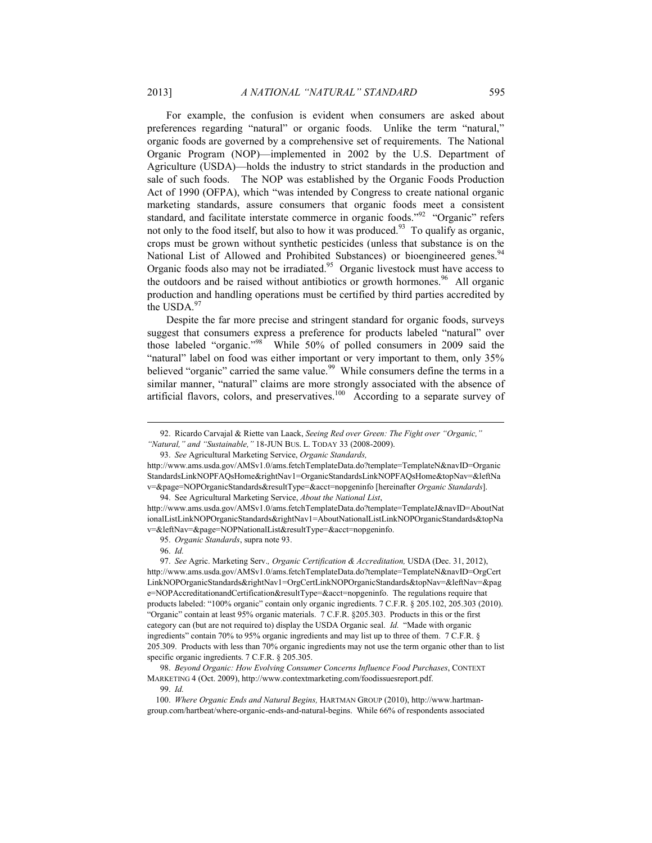For example, the confusion is evident when consumers are asked about preferences regarding "natural" or organic foods. Unlike the term "natural," organic foods are governed by a comprehensive set of requirements. The National Organic Program (NOP)—implemented in 2002 by the U.S. Department of Agriculture (USDA)—holds the industry to strict standards in the production and sale of such foods. The NOP was established by the Organic Foods Production Act of 1990 (OFPA), which "was intended by Congress to create national organic marketing standards, assure consumers that organic foods meet a consistent standard, and facilitate interstate commerce in organic foods."<sup>92</sup> "Organic" refers not only to the food itself, but also to how it was produced.<sup>93</sup> To qualify as organic, crops must be grown without synthetic pesticides (unless that substance is on the National List of Allowed and Prohibited Substances) or bioengineered genes.<sup>94</sup> Organic foods also may not be irradiated.<sup>95</sup> Organic livestock must have access to the outdoors and be raised without antibiotics or growth hormones.<sup>96</sup> All organic production and handling operations must be certified by third parties accredited by the USDA. $97$ 

Despite the far more precise and stringent standard for organic foods, surveys suggest that consumers express a preference for products labeled "natural" over those labeled "organic."<sup>98</sup> While 50% of polled consumers in 2009 said the "natural" label on food was either important or very important to them, only 35% believed "organic" carried the same value.<sup>99</sup> While consumers define the terms in a similar manner, "natural" claims are more strongly associated with the absence of artificial flavors, colors, and preservatives.<sup>100</sup>According to a separate survey of

 <sup>92.</sup> Ricardo Carvajal & Riette van Laack, *Seeing Red over Green: The Fight over "Organic," "Natural," and "Sustainable,"* 18-JUN BUS. L. TODAY 33 (2008-2009).

 <sup>93.</sup> *See* Agricultural Marketing Service, *Organic Standards,* 

http://www.ams.usda.gov/AMSv1.0/ams.fetchTemplateData.do?template=TemplateN&navID=Organic StandardsLinkNOPFAQsHome&rightNav1=OrganicStandardsLinkNOPFAQsHome&topNav=&leftNa v=&page=NOPOrganicStandards&resultType=&acct=nopgeninfo [hereinafter *Organic Standards*].

 <sup>94.</sup> See Agricultural Marketing Service, *About the National List*,

http://www.ams.usda.gov/AMSv1.0/ams.fetchTemplateData.do?template=TemplateJ&navID=AboutNat ionalListLinkNOPOrganicStandards&rightNav1=AboutNationalListLinkNOPOrganicStandards&topNa v=&leftNav=&page=NOPNationalList&resultType=&acct=nopgeninfo.

 <sup>95.</sup> *Organic Standards*, supra note 93.

 <sup>96.</sup> *Id.*

<sup>97.</sup> *See* Agric. Marketing Serv.*, Organic Certification & Accreditation,* USDA (Dec. 31, 2012), http://www.ams.usda.gov/AMSv1.0/ams.fetchTemplateData.do?template=TemplateN&navID=OrgCert LinkNOPOrganicStandards&rightNav1=OrgCertLinkNOPOrganicStandards&topNav=&leftNav=&pag e=NOPAccreditationandCertification&resultType=&acct=nopgeninfo. The regulations require that products labeled: "100% organic" contain only organic ingredients. 7 C.F.R. § 205.102, 205.303 (2010). "Organic" contain at least 95% organic materials. 7 C.F.R. §205.303. Products in this or the first category can (but are not required to) display the USDA Organic seal. *Id.* "Made with organic ingredients" contain 70% to 95% organic ingredients and may list up to three of them. 7 C.F.R. § 205.309. Products with less than 70% organic ingredients may not use the term organic other than to list specific organic ingredients. 7 C.F.R. § 205.305.

 <sup>98.</sup> *Beyond Organic: How Evolving Consumer Concerns Influence Food Purchases*, CONTEXT MARKETING 4 (Oct. 2009), http://www.contextmarketing.com/foodissuesreport.pdf.

 <sup>99.</sup> *Id.*

 <sup>100.</sup> *Where Organic Ends and Natural Begins,* HARTMAN GROUP (2010), http://www.hartmangroup.com/hartbeat/where-organic-ends-and-natural-begins. While 66% of respondents associated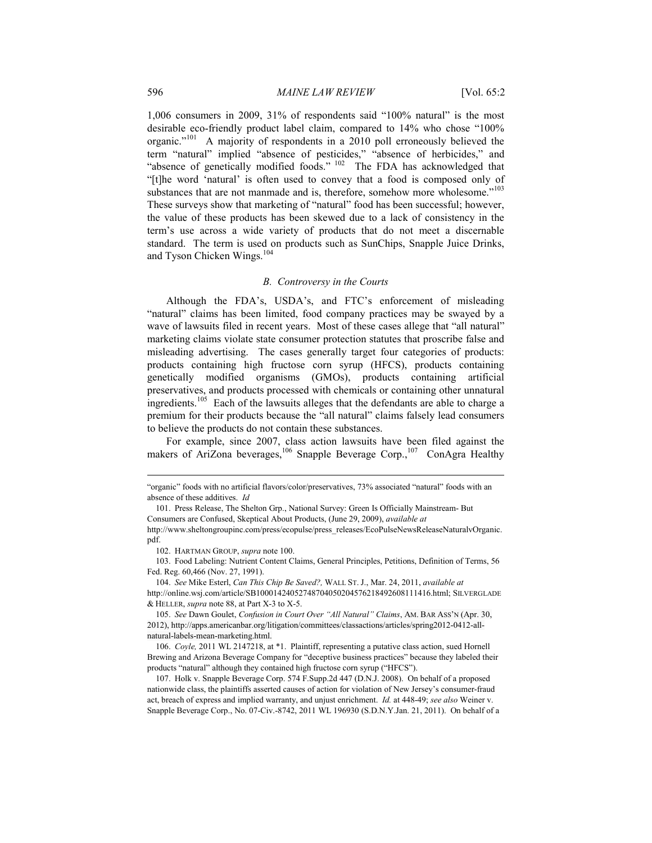1,006 consumers in 2009, 31% of respondents said "100% natural" is the most desirable eco-friendly product label claim, compared to 14% who chose "100% organic."101 A majority of respondents in a 2010 poll erroneously believed the term "natural" implied "absence of pesticides," "absence of herbicides," and "absence of genetically modified foods." 102 The FDA has acknowledged that "[t]he word 'natural' is often used to convey that a food is composed only of substances that are not manmade and is, therefore, somehow more wholesome."<sup>103</sup> These surveys show that marketing of "natural" food has been successful; however, the value of these products has been skewed due to a lack of consistency in the term's use across a wide variety of products that do not meet a discernable standard. The term is used on products such as SunChips, Snapple Juice Drinks, and Tyson Chicken Wings.<sup>104</sup>

#### *B. Controversy in the Courts*

Although the FDA's, USDA's, and FTC's enforcement of misleading "natural" claims has been limited, food company practices may be swayed by a wave of lawsuits filed in recent years. Most of these cases allege that "all natural" marketing claims violate state consumer protection statutes that proscribe false and misleading advertising. The cases generally target four categories of products: products containing high fructose corn syrup (HFCS), products containing genetically modified organisms (GMOs), products containing artificial preservatives, and products processed with chemicals or containing other unnatural ingredients.105 Each of the lawsuits alleges that the defendants are able to charge a premium for their products because the "all natural" claims falsely lead consumers to believe the products do not contain these substances.

For example, since 2007, class action lawsuits have been filed against the makers of AriZona beverages,<sup>106</sup> Snapple Beverage Corp.,<sup>107</sup> ConAgra Healthy

<sup>&</sup>quot;organic" foods with no artificial flavors/color/preservatives, 73% associated "natural" foods with an absence of these additives. *Id*

 <sup>101.</sup> Press Release, The Shelton Grp., National Survey: Green Is Officially Mainstream- But Consumers are Confused, Skeptical About Products, (June 29, 2009), *available at*

http://www.sheltongroupinc.com/press/ecopulse/press\_releases/EcoPulseNewsReleaseNaturalvOrganic. pdf.

 <sup>102.</sup> HARTMAN GROUP, *supra* note 100.

 <sup>103.</sup> Food Labeling: Nutrient Content Claims, General Principles, Petitions, Definition of Terms, 56 Fed. Reg. 60,466 (Nov. 27, 1991).

 <sup>104.</sup> *See* Mike Esterl, *Can This Chip Be Saved?,* WALL ST. J., Mar. 24, 2011, *available at* http://online.wsj.com/article/SB10001424052748704050204576218492608111416.html; SILVERGLADE & HELLER, *supra* note 88, at Part X-3 to X-5.

 <sup>105.</sup> *See* Dawn Goulet, *Confusion in Court Over "All Natural" Claims*, AM. BAR ASS'N (Apr. 30, 2012), http://apps.americanbar.org/litigation/committees/classactions/articles/spring2012-0412-allnatural-labels-mean-marketing.html.

 <sup>106.</sup> *Coyle,* 2011 WL 2147218, at \*1. Plaintiff, representing a putative class action, sued Hornell Brewing and Arizona Beverage Company for "deceptive business practices" because they labeled their products "natural" although they contained high fructose corn syrup ("HFCS").

 <sup>107.</sup> Holk v. Snapple Beverage Corp. 574 F.Supp.2d 447 (D.N.J. 2008). On behalf of a proposed nationwide class, the plaintiffs asserted causes of action for violation of New Jersey's consumer-fraud act, breach of express and implied warranty, and unjust enrichment. *Id.* at 448-49; *see also* Weiner v. Snapple Beverage Corp., No. 07-Civ.-8742, 2011 WL 196930 (S.D.N.Y.Jan. 21, 2011). On behalf of a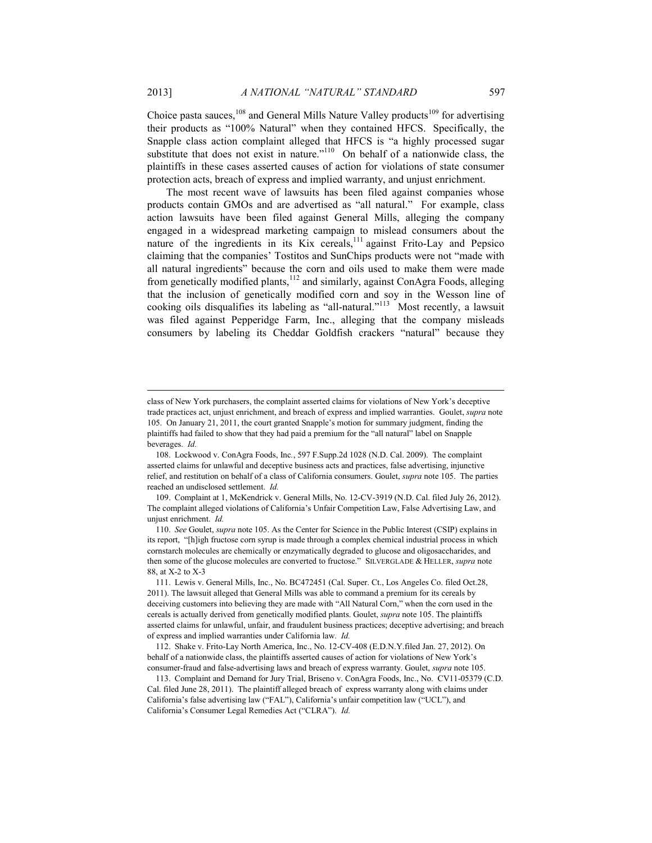Choice pasta sauces, $108$  and General Mills Nature Valley products $109$  for advertising their products as "100% Natural" when they contained HFCS. Specifically, the Snapple class action complaint alleged that HFCS is "a highly processed sugar substitute that does not exist in nature."<sup>110</sup> On behalf of a nationwide class, the plaintiffs in these cases asserted causes of action for violations of state consumer protection acts, breach of express and implied warranty, and unjust enrichment.

The most recent wave of lawsuits has been filed against companies whose products contain GMOs and are advertised as "all natural." For example, class action lawsuits have been filed against General Mills, alleging the company engaged in a widespread marketing campaign to mislead consumers about the nature of the ingredients in its Kix cereals, $^{111}$  against Frito-Lay and Pepsico claiming that the companies' Tostitos and SunChips products were not "made with all natural ingredients" because the corn and oils used to make them were made from genetically modified plants,<sup>112</sup> and similarly, against ConAgra Foods, alleging that the inclusion of genetically modified corn and soy in the Wesson line of cooking oils disqualifies its labeling as "all-natural."113 Most recently, a lawsuit was filed against Pepperidge Farm, Inc., alleging that the company misleads consumers by labeling its Cheddar Goldfish crackers "natural" because they

class of New York purchasers, the complaint asserted claims for violations of New York's deceptive trade practices act, unjust enrichment, and breach of express and implied warranties.Goulet, *supra* note 105. On January 21, 2011, the court granted Snapple's motion for summary judgment, finding the plaintiffs had failed to show that they had paid a premium for the "all natural" label on Snapple beverages. *Id.*

 <sup>108.</sup> Lockwood v. ConAgra Foods, Inc*.*, 597 F.Supp.2d 1028 (N.D. Cal. 2009). The complaint asserted claims for unlawful and deceptive business acts and practices, false advertising, injunctive relief, and restitution on behalf of a class of California consumers. Goulet, *supra* note 105. The parties reached an undisclosed settlement. *Id.*

 <sup>109.</sup> Complaint at 1, McKendrick v. General Mills, No. 12-CV-3919 (N.D. Cal. filed July 26, 2012). The complaint alleged violations of California's Unfair Competition Law, False Advertising Law, and unjust enrichment. *Id.*

 <sup>110.</sup> *See* Goulet, *supra* note 105. As the Center for Science in the Public Interest (CSIP) explains in its report, "[h]igh fructose corn syrup is made through a complex chemical industrial process in which cornstarch molecules are chemically or enzymatically degraded to glucose and oligosaccharides, and then some of the glucose molecules are converted to fructose." SILVERGLADE & HELLER, *supra* note 88, at X-2 to X-3

 <sup>111.</sup> Lewis v. General Mills, Inc., No. BC472451 (Cal. Super. Ct., Los Angeles Co. filed Oct.28, 2011). The lawsuit alleged that General Mills was able to command a premium for its cereals by deceiving customers into believing they are made with "All Natural Corn," when the corn used in the cereals is actually derived from genetically modified plants. Goulet, *supra* note 105. The plaintiffs asserted claims for unlawful, unfair, and fraudulent business practices; deceptive advertising; and breach of express and implied warranties under California law. *Id.*

 <sup>112.</sup> Shake v. Frito-Lay North America, Inc., No. 12-CV-408 (E.D.N.Y.filed Jan. 27, 2012). On behalf of a nationwide class, the plaintiffs asserted causes of action for violations of New York's consumer-fraud and false-advertising laws and breach of express warranty. Goulet, *supra* note 105.

 <sup>113.</sup> Complaint and Demand for Jury Trial, Briseno v. ConAgra Foods, Inc., No. CV11-05379 (C.D. Cal. filed June 28, 2011). The plaintiff alleged breach of express warranty along with claims under California's false advertising law ("FAL"), California's unfair competition law ("UCL"), and California's Consumer Legal Remedies Act ("CLRA"). *Id.*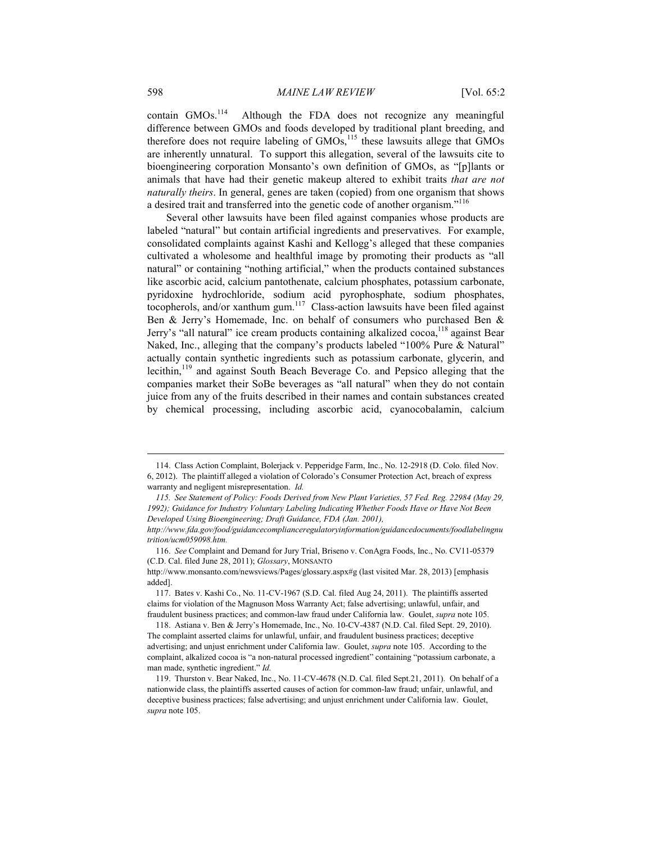contain GMOs.<sup>114</sup> Although the FDA does not recognize any meaningful difference between GMOs and foods developed by traditional plant breeding, and therefore does not require labeling of  $GMOs$ ,<sup>115</sup> these lawsuits allege that  $GMOs$ are inherently unnatural. To support this allegation, several of the lawsuits cite to bioengineering corporation Monsanto's own definition of GMOs, as "[p]lants or animals that have had their genetic makeup altered to exhibit traits *that are not naturally theirs*. In general, genes are taken (copied) from one organism that shows a desired trait and transferred into the genetic code of another organism."116

Several other lawsuits have been filed against companies whose products are labeled "natural" but contain artificial ingredients and preservatives. For example, consolidated complaints against Kashi and Kellogg's alleged that these companies cultivated a wholesome and healthful image by promoting their products as "all natural" or containing "nothing artificial," when the products contained substances like ascorbic acid, calcium pantothenate, calcium phosphates, potassium carbonate, pyridoxine hydrochloride, sodium acid pyrophosphate, sodium phosphates, tocopherols, and/or xanthum gum. $117$  Class-action lawsuits have been filed against Ben & Jerry's Homemade, Inc. on behalf of consumers who purchased Ben & Jerry's "all natural" ice cream products containing alkalized cocoa,<sup>118</sup> against Bear Naked, Inc., alleging that the company's products labeled "100% Pure & Natural" actually contain synthetic ingredients such as potassium carbonate, glycerin, and lecithin,<sup>119</sup> and against South Beach Beverage Co. and Pepsico alleging that the companies market their SoBe beverages as "all natural" when they do not contain juice from any of the fruits described in their names and contain substances created by chemical processing, including ascorbic acid, cyanocobalamin, calcium

 <sup>114.</sup> Class Action Complaint, Bolerjack v. Pepperidge Farm, Inc., No. 12-2918 (D. Colo. filed Nov. 6, 2012). The plaintiff alleged a violation of Colorado's Consumer Protection Act, breach of express warranty and negligent misrepresentation. *Id.*

 *<sup>115.</sup> See Statement of Policy: Foods Derived from New Plant Varieties, 57 Fed. Reg. 22984 (May 29, 1992); Guidance for Industry Voluntary Labeling Indicating Whether Foods Have or Have Not Been Developed Using Bioengineering; Draft Guidance, FDA (Jan. 2001),* 

*http://www.fda.gov/food/guidancecomplianceregulatoryinformation/guidancedocuments/foodlabelingnu trition/ucm059098.htm.*

 <sup>116.</sup> *See* Complaint and Demand for Jury Trial, Briseno v. ConAgra Foods, Inc., No. CV11-05379 (C.D. Cal. filed June 28, 2011); *Glossary*, MONSANTO

http://www.monsanto.com/newsviews/Pages/glossary.aspx#g (last visited Mar. 28, 2013) [emphasis added].

 <sup>117.</sup> Bates v. Kashi Co., No. 11-CV-1967 (S.D. Cal. filed Aug 24, 2011). The plaintiffs asserted claims for violation of the Magnuson Moss Warranty Act; false advertising; unlawful, unfair, and fraudulent business practices; and common-law fraud under California law. Goulet, *supra* note 105.

 <sup>118.</sup> Astiana v. Ben & Jerry's Homemade, Inc., No. 10-CV-4387 (N.D. Cal. filed Sept. 29, 2010). The complaint asserted claims for unlawful, unfair, and fraudulent business practices; deceptive advertising; and unjust enrichment under California law. Goulet, *supra* note 105. According to the complaint, alkalized cocoa is "a non-natural processed ingredient" containing "potassium carbonate, a man made, synthetic ingredient." *Id.*

 <sup>119.</sup> Thurston v. Bear Naked, Inc., No. 11-CV-4678 (N.D. Cal. filed Sept.21, 2011). On behalf of a nationwide class, the plaintiffs asserted causes of action for common-law fraud; unfair, unlawful, and deceptive business practices; false advertising; and unjust enrichment under California law. Goulet, *supra* note 105.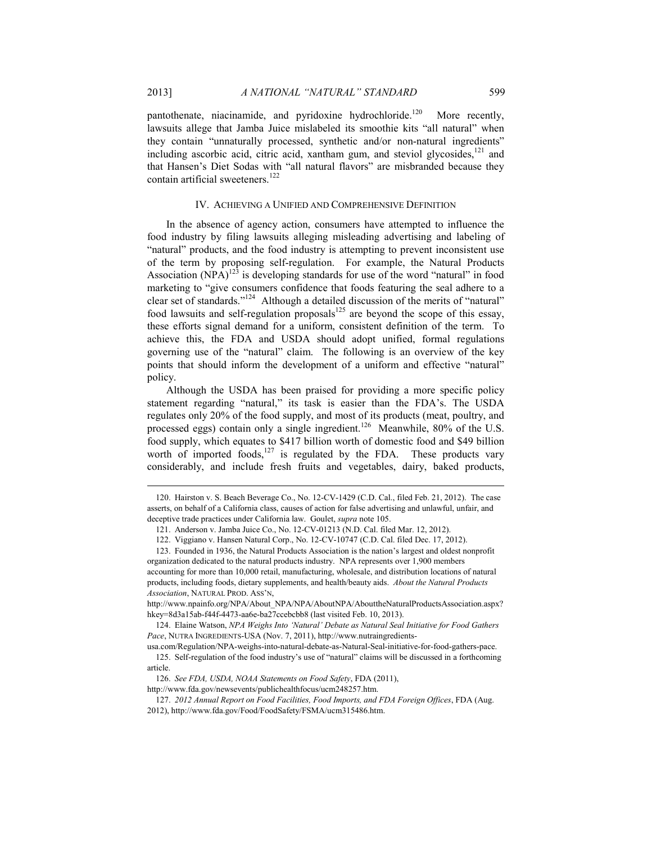pantothenate, niacinamide, and pyridoxine hydrochloride.<sup>120</sup> More recently, lawsuits allege that Jamba Juice mislabeled its smoothie kits "all natural" when they contain "unnaturally processed, synthetic and/or non-natural ingredients" including ascorbic acid, citric acid, xantham gum, and steviol glycosides,<sup>121</sup> and that Hansen's Diet Sodas with "all natural flavors" are misbranded because they contain artificial sweeteners.<sup>122</sup>

#### IV. ACHIEVING A UNIFIED AND COMPREHENSIVE DEFINITION

In the absence of agency action, consumers have attempted to influence the food industry by filing lawsuits alleging misleading advertising and labeling of "natural" products, and the food industry is attempting to prevent inconsistent use of the term by proposing self-regulation. For example, the Natural Products Association  $(NPA)^{123}$  is developing standards for use of the word "natural" in food marketing to "give consumers confidence that foods featuring the seal adhere to a clear set of standards."124 Although a detailed discussion of the merits of "natural" food lawsuits and self-regulation proposals $125$  are beyond the scope of this essay, these efforts signal demand for a uniform, consistent definition of the term. To achieve this, the FDA and USDA should adopt unified, formal regulations governing use of the "natural" claim. The following is an overview of the key points that should inform the development of a uniform and effective "natural" policy.

Although the USDA has been praised for providing a more specific policy statement regarding "natural," its task is easier than the FDA's. The USDA regulates only 20% of the food supply, and most of its products (meat, poultry, and processed eggs) contain only a single ingredient.<sup>126</sup> Meanwhile, 80% of the U.S. food supply, which equates to \$417 billion worth of domestic food and \$49 billion worth of imported foods, $127$  is regulated by the FDA. These products vary considerably, and include fresh fruits and vegetables, dairy, baked products,

 <sup>120.</sup> Hairston v. S. Beach Beverage Co., No. 12-CV-1429 (C.D. Cal., filed Feb. 21, 2012). The case asserts, on behalf of a California class, causes of action for false advertising and unlawful, unfair, and deceptive trade practices under California law. Goulet, *supra* note 105.

 <sup>121.</sup> Anderson v. Jamba Juice Co., No. 12-CV-01213 (N.D. Cal. filed Mar. 12, 2012).

 <sup>122.</sup> Viggiano v. Hansen Natural Corp., No. 12-CV-10747 (C.D. Cal. filed Dec. 17, 2012).

 <sup>123.</sup> Founded in 1936, the Natural Products Association is the nation's largest and oldest nonprofit organization dedicated to the natural products industry. NPA represents over 1,900 members accounting for more than 10,000 retail, manufacturing, wholesale, and distribution locations of natural products, including foods, dietary supplements, and health/beauty aids. *About the Natural Products Association*, NATURAL PROD. ASS'N,

http://www.npainfo.org/NPA/About\_NPA/NPA/AboutNPA/AbouttheNaturalProductsAssociation.aspx? hkey=8d3a15ab-f44f-4473-aa6e-ba27ccebcbb8 (last visited Feb. 10, 2013).

 <sup>124.</sup> Elaine Watson, *NPA Weighs Into 'Natural' Debate as Natural Seal Initiative for Food Gathers Pace*, NUTRA INGREDIENTS-USA (Nov. 7, 2011), http://www.nutraingredients-

usa.com/Regulation/NPA-weighs-into-natural-debate-as-Natural-Seal-initiative-for-food-gathers-pace.

 <sup>125.</sup> Self-regulation of the food industry's use of "natural" claims will be discussed in a forthcoming article.

 <sup>126.</sup> *See FDA, USDA, NOAA Statements on Food Safety*, FDA (2011),

http://www.fda.gov/newsevents/publichealthfocus/ucm248257.htm.

 <sup>127.</sup> *2012 Annual Report on Food Facilities, Food Imports, and FDA Foreign Offices*, FDA (Aug. 2012), http://www.fda.gov/Food/FoodSafety/FSMA/ucm315486.htm.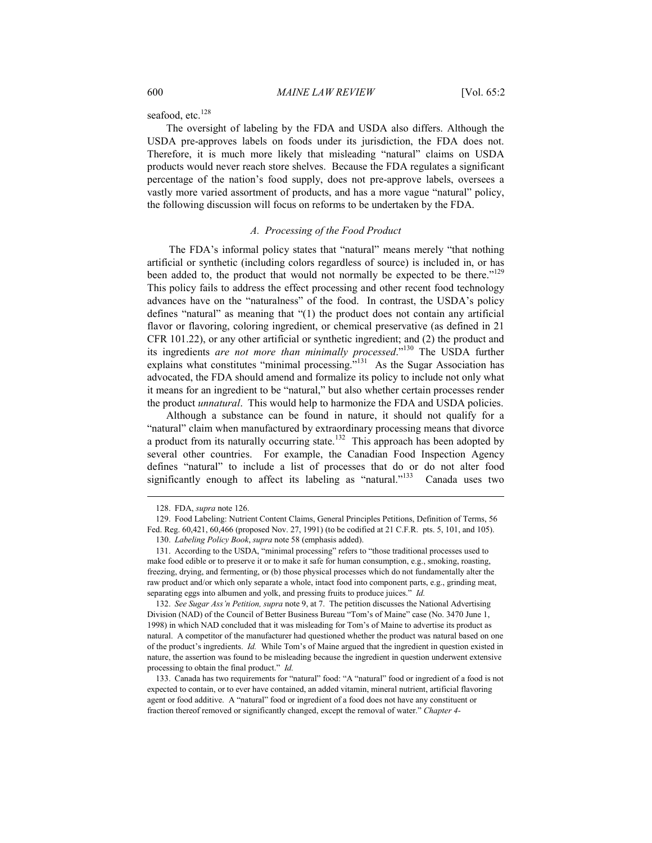seafood, etc.<sup>128</sup>

The oversight of labeling by the FDA and USDA also differs. Although the USDA pre-approves labels on foods under its jurisdiction, the FDA does not. Therefore, it is much more likely that misleading "natural" claims on USDA products would never reach store shelves. Because the FDA regulates a significant percentage of the nation's food supply, does not pre-approve labels, oversees a vastly more varied assortment of products, and has a more vague "natural" policy, the following discussion will focus on reforms to be undertaken by the FDA.

#### *A. Processing of the Food Product*

 The FDA's informal policy states that "natural" means merely "that nothing artificial or synthetic (including colors regardless of source) is included in, or has been added to, the product that would not normally be expected to be there."<sup>129</sup> This policy fails to address the effect processing and other recent food technology advances have on the "naturalness" of the food. In contrast, the USDA's policy defines "natural" as meaning that "(1) the product does not contain any artificial flavor or flavoring, coloring ingredient, or chemical preservative (as defined in 21 CFR 101.22), or any other artificial or synthetic ingredient; and (2) the product and its ingredients *are not more than minimally processed*."130 The USDA further explains what constitutes "minimal processing."<sup>131</sup> As the Sugar Association has advocated, the FDA should amend and formalize its policy to include not only what it means for an ingredient to be "natural," but also whether certain processes render the product *unnatural*. This would help to harmonize the FDA and USDA policies.

Although a substance can be found in nature, it should not qualify for a "natural" claim when manufactured by extraordinary processing means that divorce a product from its naturally occurring state.<sup>132</sup> This approach has been adopted by several other countries. For example, the Canadian Food Inspection Agency defines "natural" to include a list of processes that do or do not alter food significantly enough to affect its labeling as "natural."<sup>133</sup> Canada uses two

l

 132. *See Sugar Ass'n Petition, supra* note 9, at 7. The petition discusses the National Advertising Division (NAD) of the Council of Better Business Bureau "Tom's of Maine" case (No. 3470 June 1, 1998) in which NAD concluded that it was misleading for Tom's of Maine to advertise its product as natural. A competitor of the manufacturer had questioned whether the product was natural based on one of the product's ingredients. *Id.* While Tom's of Maine argued that the ingredient in question existed in nature, the assertion was found to be misleading because the ingredient in question underwent extensive processing to obtain the final product." *Id.*

 133. Canada has two requirements for "natural" food: "A "natural" food or ingredient of a food is not expected to contain, or to ever have contained, an added vitamin, mineral nutrient, artificial flavoring agent or food additive. A "natural" food or ingredient of a food does not have any constituent or fraction thereof removed or significantly changed, except the removal of water." *Chapter 4-* 

 <sup>128.</sup> FDA, *supra* note 126.

 <sup>129.</sup> Food Labeling: Nutrient Content Claims, General Principles Petitions, Definition of Terms, 56 Fed. Reg. 60,421, 60,466 (proposed Nov. 27, 1991) (to be codified at 21 C.F.R. pts. 5, 101, and 105).

 <sup>130.</sup> *Labeling Policy Book*, *supra* note 58 (emphasis added).

 <sup>131.</sup> According to the USDA, "minimal processing" refers to "those traditional processes used to make food edible or to preserve it or to make it safe for human consumption, e.g., smoking, roasting, freezing, drying, and fermenting, or (b) those physical processes which do not fundamentally alter the raw product and/or which only separate a whole, intact food into component parts, e.g., grinding meat, separating eggs into albumen and yolk, and pressing fruits to produce juices." *Id.*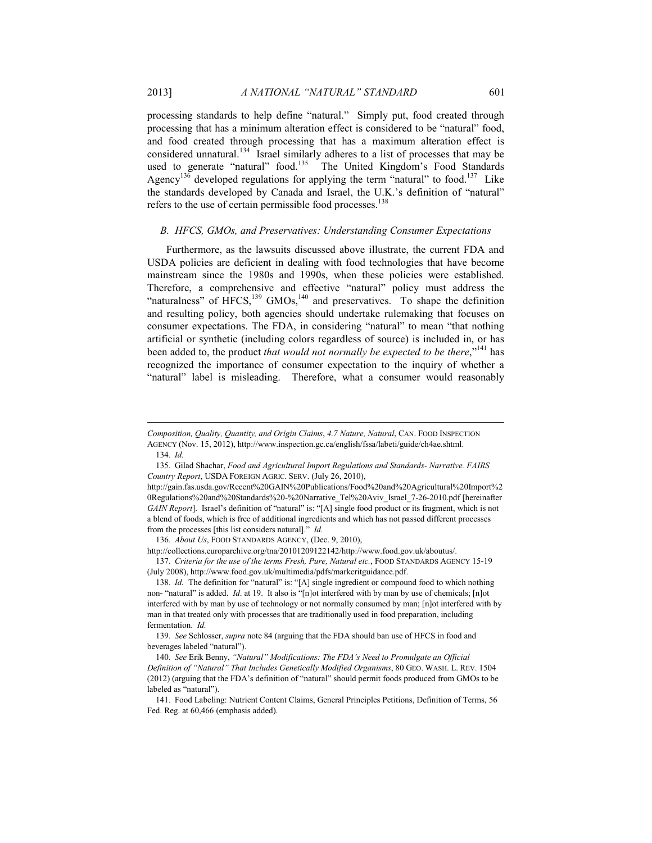processing standards to help define "natural." Simply put, food created through processing that has a minimum alteration effect is considered to be "natural" food, and food created through processing that has a maximum alteration effect is considered unnatural.<sup>134</sup> Israel similarly adheres to a list of processes that may be used to generate "natural" food.<sup>135</sup> The United Kingdom's Food Standards Agency<sup>136</sup> developed regulations for applying the term "natural" to food.<sup>137</sup> Like the standards developed by Canada and Israel, the U.K.'s definition of "natural" refers to the use of certain permissible food processes.<sup>138</sup>

#### *B. HFCS, GMOs, and Preservatives: Understanding Consumer Expectations*

Furthermore, as the lawsuits discussed above illustrate, the current FDA and USDA policies are deficient in dealing with food technologies that have become mainstream since the 1980s and 1990s, when these policies were established. Therefore, a comprehensive and effective "natural" policy must address the "naturalness" of HFCS, $^{139}$  GMOs, $^{140}$  and preservatives. To shape the definition and resulting policy, both agencies should undertake rulemaking that focuses on consumer expectations. The FDA, in considering "natural" to mean "that nothing artificial or synthetic (including colors regardless of source) is included in, or has been added to, the product *that would not normally be expected to be there*,"<sup>141</sup> has recognized the importance of consumer expectation to the inquiry of whether a "natural" label is misleading. Therefore, what a consumer would reasonably

*Composition, Quality, Quantity, and Origin Claims*, *4.7 Nature, Natural*, CAN. FOOD INSPECTION AGENCY (Nov. 15, 2012), http://www.inspection.gc.ca/english/fssa/labeti/guide/ch4ae.shtml. 134. *Id.*

 <sup>135.</sup> Gilad Shachar, *Food and Agricultural Import Regulations and Standards- Narrative. FAIRS Country Report*, USDA FOREIGN AGRIC. SERV. (July 26, 2010),

http://gain.fas.usda.gov/Recent%20GAIN%20Publications/Food%20and%20Agricultural%20Import%2 0Regulations%20and%20Standards%20-%20Narrative\_Tel%20Aviv\_Israel\_7-26-2010.pdf [hereinafter *GAIN Report*]. Israel's definition of "natural" is: "[A] single food product or its fragment, which is not a blend of foods, which is free of additional ingredients and which has not passed different processes from the processes [this list considers natural]." *Id.*

 <sup>136.</sup> *About Us*, FOOD STANDARDS AGENCY, (Dec. 9, 2010),

http://collections.europarchive.org/tna/20101209122142/http://www.food.gov.uk/aboutus/.

 <sup>137.</sup> *Criteria for the use of the terms Fresh, Pure, Natural etc.*, FOOD STANDARDS AGENCY 15-19 (July 2008), http://www.food.gov.uk/multimedia/pdfs/markcritguidance.pdf.

 <sup>138.</sup> *Id.* The definition for "natural" is: "[A] single ingredient or compound food to which nothing non- "natural" is added. *Id*. at 19. It also is "[n]ot interfered with by man by use of chemicals; [n]ot interfered with by man by use of technology or not normally consumed by man; [n]ot interfered with by man in that treated only with processes that are traditionally used in food preparation, including fermentation. *Id.*

 <sup>139.</sup> *See* Schlosser, *supra* note 84 (arguing that the FDA should ban use of HFCS in food and beverages labeled "natural").

 <sup>140.</sup> *See* Erik Benny, *"Natural" Modifications: The FDA's Need to Promulgate an Official Definition of "Natural" That Includes Genetically Modified Organisms*, 80 GEO. WASH. L. REV. 1504 (2012) (arguing that the FDA's definition of "natural" should permit foods produced from GMOs to be labeled as "natural").

 <sup>141.</sup> Food Labeling: Nutrient Content Claims, General Principles Petitions, Definition of Terms, 56 Fed. Reg. at 60,466 (emphasis added).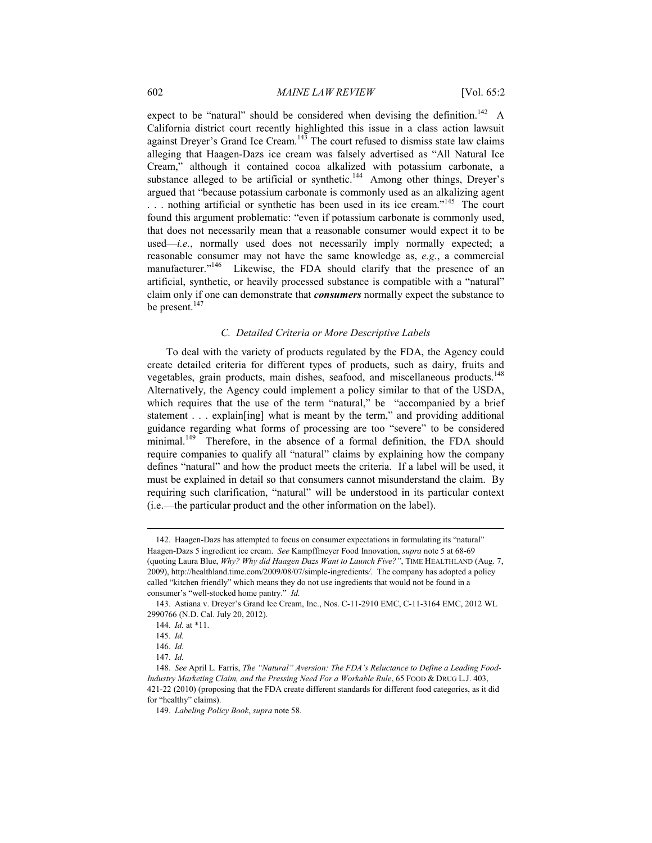expect to be "natural" should be considered when devising the definition.<sup>142</sup> A California district court recently highlighted this issue in a class action lawsuit against Dreyer's Grand Ice Cream.<sup>143</sup> The court refused to dismiss state law claims alleging that Haagen-Dazs ice cream was falsely advertised as "All Natural Ice Cream," although it contained cocoa alkalized with potassium carbonate, a substance alleged to be artificial or synthetic.<sup>144</sup> Among other things, Dreyer's argued that "because potassium carbonate is commonly used as an alkalizing agent ... nothing artificial or synthetic has been used in its ice cream."<sup>145</sup> The court found this argument problematic: "even if potassium carbonate is commonly used, that does not necessarily mean that a reasonable consumer would expect it to be used—*i.e.*, normally used does not necessarily imply normally expected; a reasonable consumer may not have the same knowledge as, *e.g.*, a commercial manufacturer."<sup>146</sup> Likewise, the FDA should clarify that the presence of an artificial, synthetic, or heavily processed substance is compatible with a "natural" claim only if one can demonstrate that *consumers* normally expect the substance to be present.<sup>147</sup>

## *C. Detailed Criteria or More Descriptive Labels*

To deal with the variety of products regulated by the FDA, the Agency could create detailed criteria for different types of products, such as dairy, fruits and vegetables, grain products, main dishes, seafood, and miscellaneous products.<sup>148</sup> Alternatively, the Agency could implement a policy similar to that of the USDA, which requires that the use of the term "natural," be "accompanied by a brief statement . . . explain[ing] what is meant by the term," and providing additional guidance regarding what forms of processing are too "severe" to be considered minimal.<sup>149</sup> Therefore, in the absence of a formal definition, the FDA should require companies to qualify all "natural" claims by explaining how the company defines "natural" and how the product meets the criteria. If a label will be used, it must be explained in detail so that consumers cannot misunderstand the claim. By requiring such clarification, "natural" will be understood in its particular context (i.e.—the particular product and the other information on the label).

 <sup>142.</sup> Haagen-Dazs has attempted to focus on consumer expectations in formulating its "natural" Haagen-Dazs 5 ingredient ice cream. *See* Kampffmeyer Food Innovation, *supra* note 5 at 68-69 (quoting Laura Blue, *Why? Why did Haagen Dazs Want to Launch Five?"*, TIME HEALTHLAND (Aug. 7, 2009), http://healthland.time.com/2009/08/07/simple-ingredients*/*. The company has adopted a policy called "kitchen friendly" which means they do not use ingredients that would not be found in a consumer's "well-stocked home pantry." *Id.*

 <sup>143.</sup> Astiana v. Dreyer's Grand Ice Cream, Inc., Nos. C-11-2910 EMC, C-11-3164 EMC, 2012 WL 2990766 (N.D. Cal. July 20, 2012).

 <sup>144.</sup> *Id.* at \*11.

 <sup>145.</sup> *Id.*

 <sup>146.</sup> *Id.*

 <sup>147.</sup> *Id.*

 <sup>148.</sup> *See* April L. Farris, *The "Natural" Aversion: The FDA's Reluctance to Define a Leading Food-Industry Marketing Claim, and the Pressing Need For a Workable Rule*, 65 FOOD & DRUG L.J. 403, 421-22 (2010) (proposing that the FDA create different standards for different food categories, as it did for "healthy" claims).

 <sup>149.</sup> *Labeling Policy Book*, *supra* note 58.